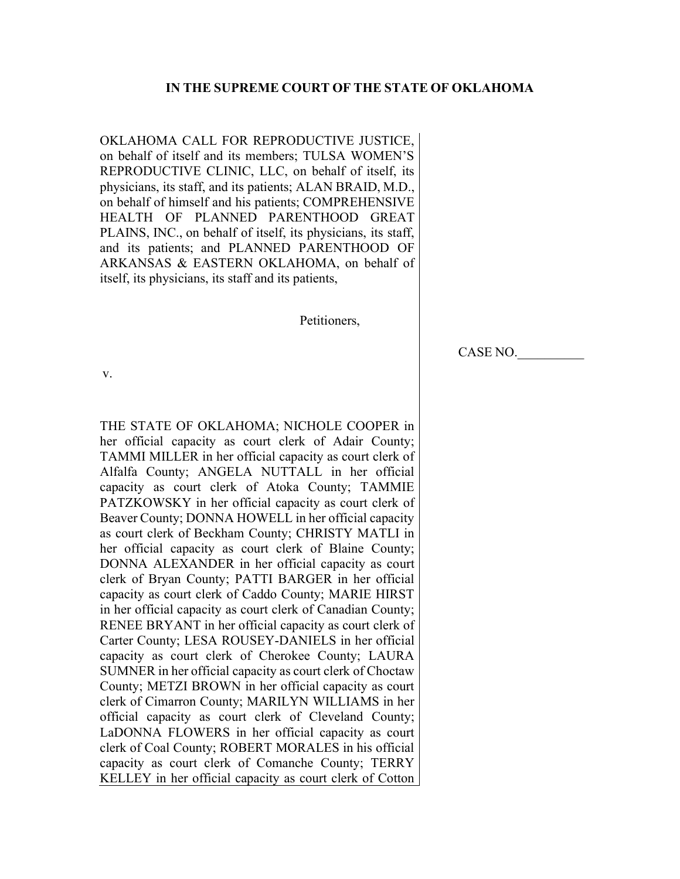### IN THE SUPREME COURT OF THE STATE OF OKLAHOMA

OKLAHOMA CALL FOR REPRODUCTIVE JUSTICE, on behalf of itself and its members; TULSA WOMEN'S REPRODUCTIVE CLINIC, LLC, on behalf of itself, its physicians, its staff, and its patients; ALAN BRAID, M.D., on behalf of himself and his patients; COMPREHENSIVE HEALTH OF PLANNED PARENTHOOD GREAT PLAINS, INC., on behalf of itself, its physicians, its staff, and its patients; and PLANNED PARENTHOOD OF ARKANSAS & EASTERN OKLAHOMA, on behalf of itself, its physicians, its staff and its patients,

#### Petitioners,

CASE NO.\_\_\_\_\_\_\_\_\_\_

 v.

THE STATE OF OKLAHOMA; NICHOLE COOPER in her official capacity as court clerk of Adair County; TAMMI MILLER in her official capacity as court clerk of Alfalfa County; ANGELA NUTTALL in her official capacity as court clerk of Atoka County; TAMMIE PATZKOWSKY in her official capacity as court clerk of Beaver County; DONNA HOWELL in her official capacity as court clerk of Beckham County; CHRISTY MATLI in her official capacity as court clerk of Blaine County; DONNA ALEXANDER in her official capacity as court clerk of Bryan County; PATTI BARGER in her official capacity as court clerk of Caddo County; MARIE HIRST in her official capacity as court clerk of Canadian County; RENEE BRYANT in her official capacity as court clerk of Carter County; LESA ROUSEY-DANIELS in her official capacity as court clerk of Cherokee County; LAURA SUMNER in her official capacity as court clerk of Choctaw County; METZI BROWN in her official capacity as court clerk of Cimarron County; MARILYN WILLIAMS in her official capacity as court clerk of Cleveland County; LaDONNA FLOWERS in her official capacity as court clerk of Coal County; ROBERT MORALES in his official capacity as court clerk of Comanche County; TERRY KELLEY in her official capacity as court clerk of Cotton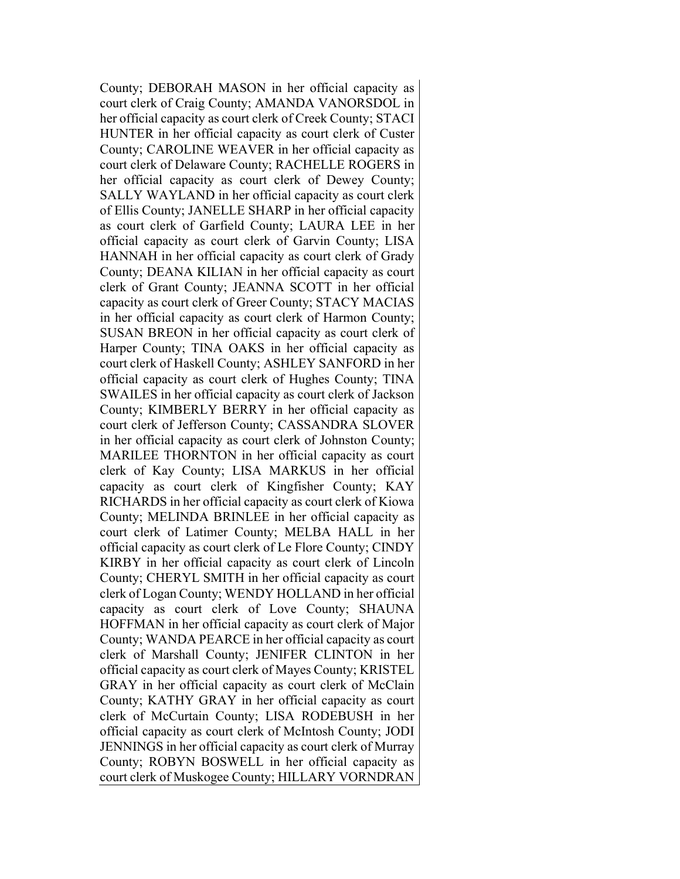County; DEBORAH MASON in her official capacity as court clerk of Craig County; AMANDA VANORSDOL in her official capacity as court clerk of Creek County; STACI HUNTER in her official capacity as court clerk of Custer County; CAROLINE WEAVER in her official capacity as court clerk of Delaware County; RACHELLE ROGERS in her official capacity as court clerk of Dewey County; SALLY WAYLAND in her official capacity as court clerk of Ellis County; JANELLE SHARP in her official capacity as court clerk of Garfield County; LAURA LEE in her official capacity as court clerk of Garvin County; LISA HANNAH in her official capacity as court clerk of Grady County; DEANA KILIAN in her official capacity as court clerk of Grant County; JEANNA SCOTT in her official capacity as court clerk of Greer County; STACY MACIAS in her official capacity as court clerk of Harmon County; SUSAN BREON in her official capacity as court clerk of Harper County; TINA OAKS in her official capacity as court clerk of Haskell County; ASHLEY SANFORD in her official capacity as court clerk of Hughes County; TINA SWAILES in her official capacity as court clerk of Jackson County; KIMBERLY BERRY in her official capacity as court clerk of Jefferson County; CASSANDRA SLOVER in her official capacity as court clerk of Johnston County; MARILEE THORNTON in her official capacity as court clerk of Kay County; LISA MARKUS in her official capacity as court clerk of Kingfisher County; KAY RICHARDS in her official capacity as court clerk of Kiowa County; MELINDA BRINLEE in her official capacity as court clerk of Latimer County; MELBA HALL in her official capacity as court clerk of Le Flore County; CINDY KIRBY in her official capacity as court clerk of Lincoln County; CHERYL SMITH in her official capacity as court clerk of Logan County; WENDY HOLLAND in her official capacity as court clerk of Love County; SHAUNA HOFFMAN in her official capacity as court clerk of Major County; WANDA PEARCE in her official capacity as court clerk of Marshall County; JENIFER CLINTON in her official capacity as court clerk of Mayes County; KRISTEL GRAY in her official capacity as court clerk of McClain County; KATHY GRAY in her official capacity as court clerk of McCurtain County; LISA RODEBUSH in her official capacity as court clerk of McIntosh County; JODI JENNINGS in her official capacity as court clerk of Murray County; ROBYN BOSWELL in her official capacity as court clerk of Muskogee County; HILLARY VORNDRAN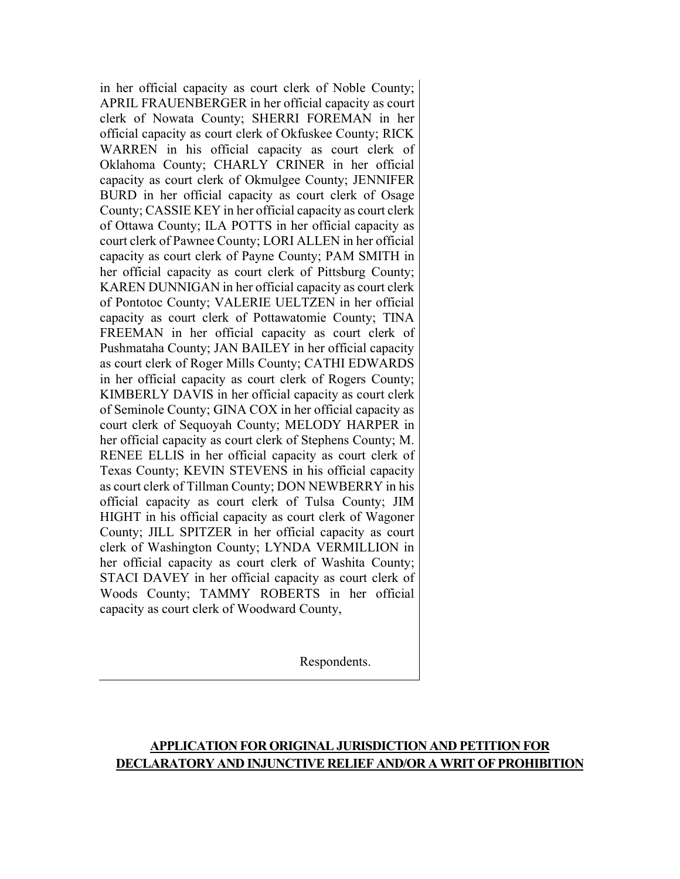in her official capacity as court clerk of Noble County; APRIL FRAUENBERGER in her official capacity as court clerk of Nowata County; SHERRI FOREMAN in her official capacity as court clerk of Okfuskee County; RICK WARREN in his official capacity as court clerk of Oklahoma County; CHARLY CRINER in her official capacity as court clerk of Okmulgee County; JENNIFER BURD in her official capacity as court clerk of Osage County; CASSIE KEY in her official capacity as court clerk of Ottawa County; ILA POTTS in her official capacity as court clerk of Pawnee County; LORI ALLEN in her official capacity as court clerk of Payne County; PAM SMITH in her official capacity as court clerk of Pittsburg County; KAREN DUNNIGAN in her official capacity as court clerk of Pontotoc County; VALERIE UELTZEN in her official capacity as court clerk of Pottawatomie County; TINA FREEMAN in her official capacity as court clerk of Pushmataha County; JAN BAILEY in her official capacity as court clerk of Roger Mills County; CATHI EDWARDS in her official capacity as court clerk of Rogers County; KIMBERLY DAVIS in her official capacity as court clerk of Seminole County; GINA COX in her official capacity as court clerk of Sequoyah County; MELODY HARPER in her official capacity as court clerk of Stephens County; M. RENEE ELLIS in her official capacity as court clerk of Texas County; KEVIN STEVENS in his official capacity as court clerk of Tillman County; DON NEWBERRY in his official capacity as court clerk of Tulsa County; JIM HIGHT in his official capacity as court clerk of Wagoner County; JILL SPITZER in her official capacity as court clerk of Washington County; LYNDA VERMILLION in her official capacity as court clerk of Washita County; STACI DAVEY in her official capacity as court clerk of Woods County; TAMMY ROBERTS in her official capacity as court clerk of Woodward County,

Respondents.

# APPLICATION FOR ORIGINAL JURISDICTION AND PETITION FOR DECLARATORY AND INJUNCTIVE RELIEF AND/OR A WRIT OF PROHIBITION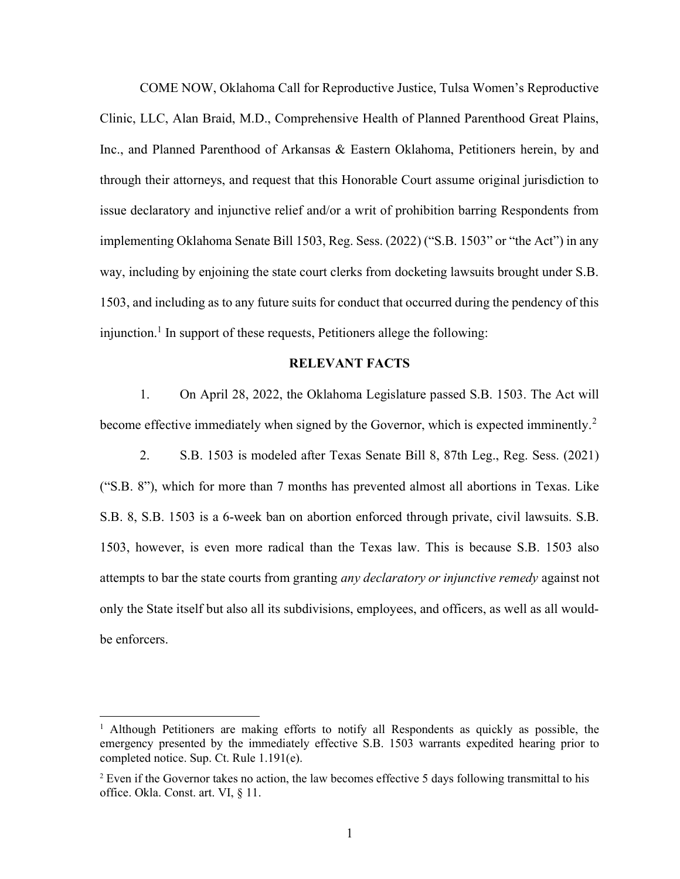COME NOW, Oklahoma Call for Reproductive Justice, Tulsa Women's Reproductive Clinic, LLC, Alan Braid, M.D., Comprehensive Health of Planned Parenthood Great Plains, Inc., and Planned Parenthood of Arkansas & Eastern Oklahoma, Petitioners herein, by and through their attorneys, and request that this Honorable Court assume original jurisdiction to issue declaratory and injunctive relief and/or a writ of prohibition barring Respondents from implementing Oklahoma Senate Bill 1503, Reg. Sess. (2022) ("S.B. 1503" or "the Act") in any way, including by enjoining the state court clerks from docketing lawsuits brought under S.B. 1503, and including as to any future suits for conduct that occurred during the pendency of this injunction.<sup>1</sup> In support of these requests, Petitioners allege the following:

#### RELEVANT FACTS

1. On April 28, 2022, the Oklahoma Legislature passed S.B. 1503. The Act will become effective immediately when signed by the Governor, which is expected imminently.<sup>2</sup>

2. S.B. 1503 is modeled after Texas Senate Bill 8, 87th Leg., Reg. Sess. (2021) ("S.B. 8"), which for more than 7 months has prevented almost all abortions in Texas. Like S.B. 8, S.B. 1503 is a 6-week ban on abortion enforced through private, civil lawsuits. S.B. 1503, however, is even more radical than the Texas law. This is because S.B. 1503 also attempts to bar the state courts from granting any declaratory or injunctive remedy against not only the State itself but also all its subdivisions, employees, and officers, as well as all wouldbe enforcers.

<sup>&</sup>lt;sup>1</sup> Although Petitioners are making efforts to notify all Respondents as quickly as possible, the emergency presented by the immediately effective S.B. 1503 warrants expedited hearing prior to completed notice. Sup. Ct. Rule 1.191(e).

 $2$  Even if the Governor takes no action, the law becomes effective 5 days following transmittal to his office. Okla. Const. art. VI, § 11.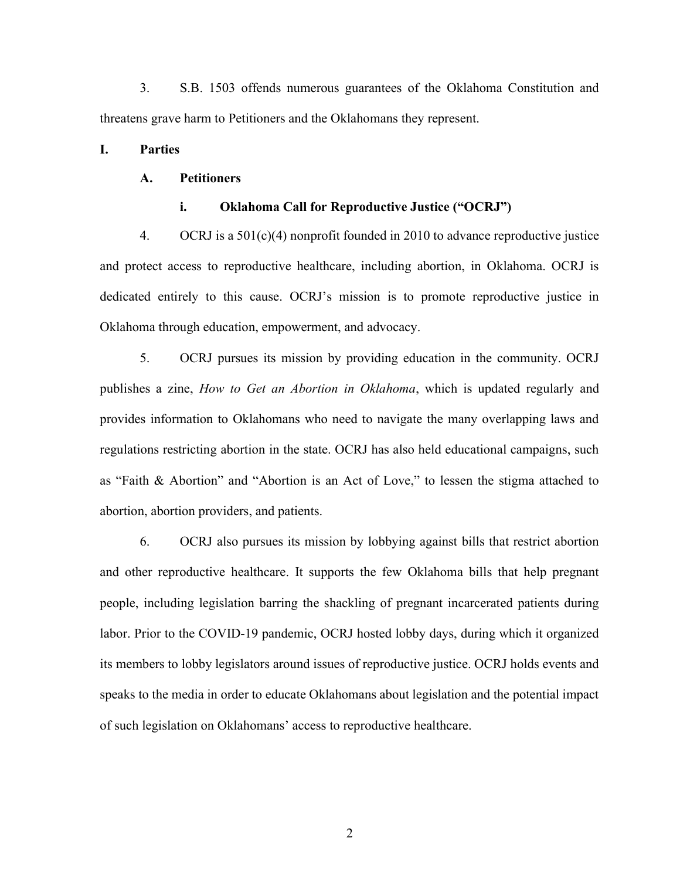3. S.B. 1503 offends numerous guarantees of the Oklahoma Constitution and threatens grave harm to Petitioners and the Oklahomans they represent.

### I. Parties

### A. Petitioners

#### i. Oklahoma Call for Reproductive Justice ("OCRJ")

4. OCRJ is a 501(c)(4) nonprofit founded in 2010 to advance reproductive justice and protect access to reproductive healthcare, including abortion, in Oklahoma. OCRJ is dedicated entirely to this cause. OCRJ's mission is to promote reproductive justice in Oklahoma through education, empowerment, and advocacy.

5. OCRJ pursues its mission by providing education in the community. OCRJ publishes a zine, How to Get an Abortion in Oklahoma, which is updated regularly and provides information to Oklahomans who need to navigate the many overlapping laws and regulations restricting abortion in the state. OCRJ has also held educational campaigns, such as "Faith & Abortion" and "Abortion is an Act of Love," to lessen the stigma attached to abortion, abortion providers, and patients.

6. OCRJ also pursues its mission by lobbying against bills that restrict abortion and other reproductive healthcare. It supports the few Oklahoma bills that help pregnant people, including legislation barring the shackling of pregnant incarcerated patients during labor. Prior to the COVID-19 pandemic, OCRJ hosted lobby days, during which it organized its members to lobby legislators around issues of reproductive justice. OCRJ holds events and speaks to the media in order to educate Oklahomans about legislation and the potential impact of such legislation on Oklahomans' access to reproductive healthcare.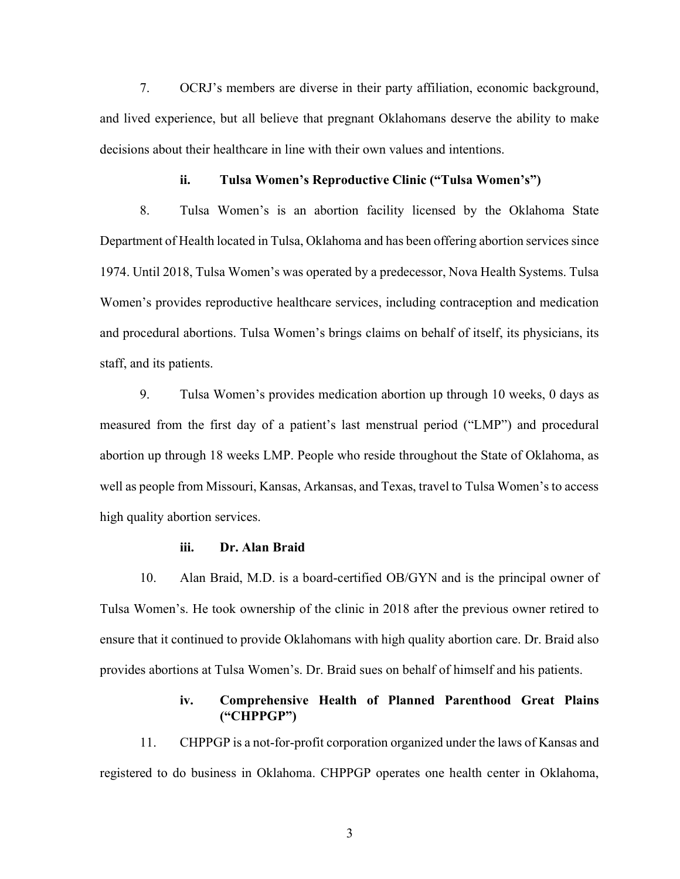7. OCRJ's members are diverse in their party affiliation, economic background, and lived experience, but all believe that pregnant Oklahomans deserve the ability to make decisions about their healthcare in line with their own values and intentions.

#### ii. Tulsa Women's Reproductive Clinic ("Tulsa Women's")

8. Tulsa Women's is an abortion facility licensed by the Oklahoma State Department of Health located in Tulsa, Oklahoma and has been offering abortion services since 1974. Until 2018, Tulsa Women's was operated by a predecessor, Nova Health Systems. Tulsa Women's provides reproductive healthcare services, including contraception and medication and procedural abortions. Tulsa Women's brings claims on behalf of itself, its physicians, its staff, and its patients.

9. Tulsa Women's provides medication abortion up through 10 weeks, 0 days as measured from the first day of a patient's last menstrual period ("LMP") and procedural abortion up through 18 weeks LMP. People who reside throughout the State of Oklahoma, as well as people from Missouri, Kansas, Arkansas, and Texas, travel to Tulsa Women's to access high quality abortion services.

#### iii. Dr. Alan Braid

10. Alan Braid, M.D. is a board-certified OB/GYN and is the principal owner of Tulsa Women's. He took ownership of the clinic in 2018 after the previous owner retired to ensure that it continued to provide Oklahomans with high quality abortion care. Dr. Braid also provides abortions at Tulsa Women's. Dr. Braid sues on behalf of himself and his patients.

# iv. Comprehensive Health of Planned Parenthood Great Plains ("CHPPGP")

11. CHPPGP is a not-for-profit corporation organized under the laws of Kansas and registered to do business in Oklahoma. CHPPGP operates one health center in Oklahoma,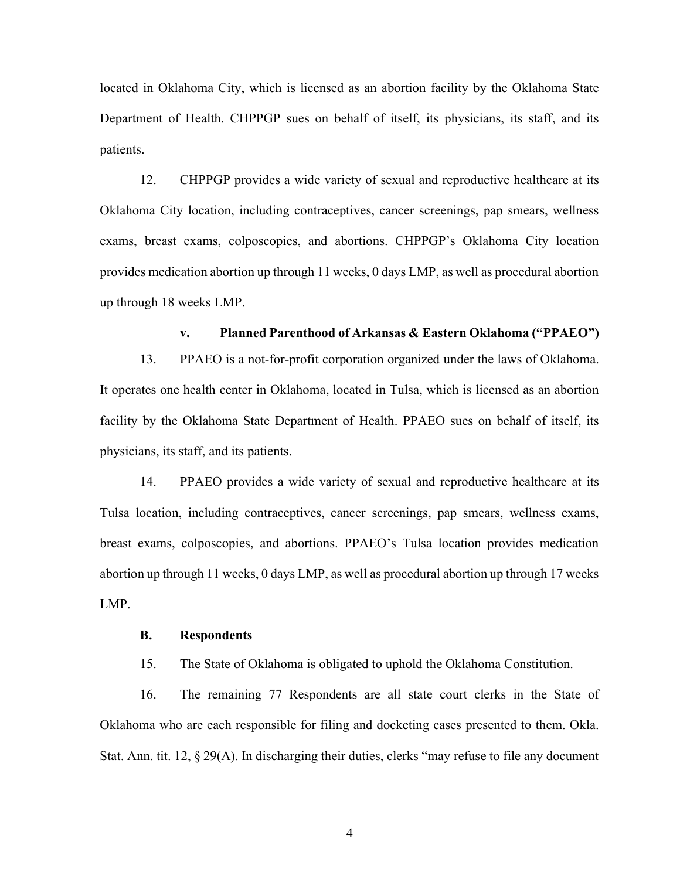located in Oklahoma City, which is licensed as an abortion facility by the Oklahoma State Department of Health. CHPPGP sues on behalf of itself, its physicians, its staff, and its patients.

12. CHPPGP provides a wide variety of sexual and reproductive healthcare at its Oklahoma City location, including contraceptives, cancer screenings, pap smears, wellness exams, breast exams, colposcopies, and abortions. CHPPGP's Oklahoma City location provides medication abortion up through 11 weeks, 0 days LMP, as well as procedural abortion up through 18 weeks LMP.

#### v. Planned Parenthood of Arkansas & Eastern Oklahoma ("PPAEO")

13. PPAEO is a not-for-profit corporation organized under the laws of Oklahoma. It operates one health center in Oklahoma, located in Tulsa, which is licensed as an abortion facility by the Oklahoma State Department of Health. PPAEO sues on behalf of itself, its physicians, its staff, and its patients.

14. PPAEO provides a wide variety of sexual and reproductive healthcare at its Tulsa location, including contraceptives, cancer screenings, pap smears, wellness exams, breast exams, colposcopies, and abortions. PPAEO's Tulsa location provides medication abortion up through 11 weeks, 0 days LMP, as well as procedural abortion up through 17 weeks LMP.

#### B. Respondents

15. The State of Oklahoma is obligated to uphold the Oklahoma Constitution.

16. The remaining 77 Respondents are all state court clerks in the State of Oklahoma who are each responsible for filing and docketing cases presented to them. Okla. Stat. Ann. tit. 12, § 29(A). In discharging their duties, clerks "may refuse to file any document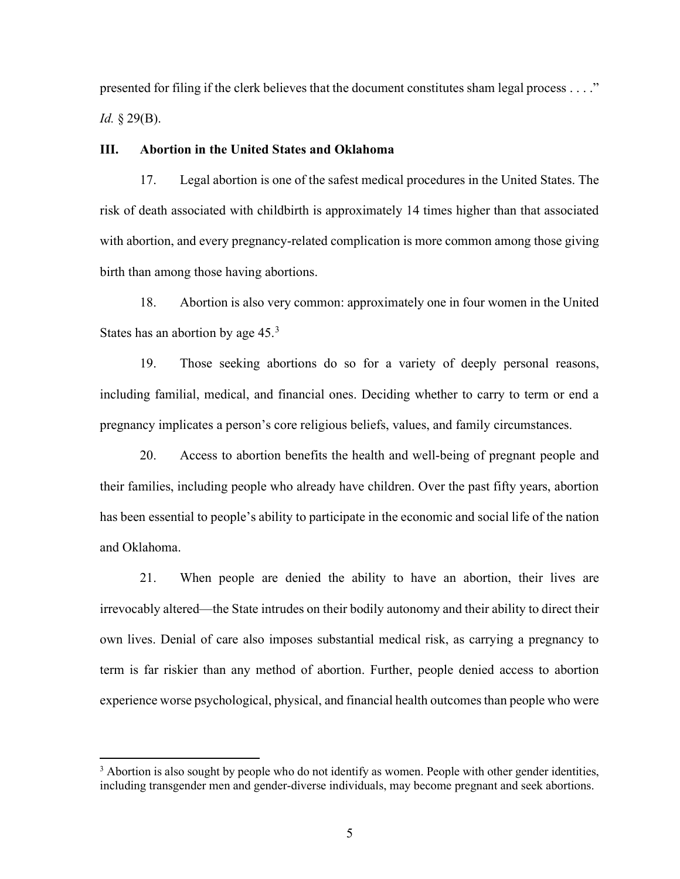presented for filing if the clerk believes that the document constitutes sham legal process . . . ." *Id.*  $\S 29(B)$ .

### III. Abortion in the United States and Oklahoma

17. Legal abortion is one of the safest medical procedures in the United States. The risk of death associated with childbirth is approximately 14 times higher than that associated with abortion, and every pregnancy-related complication is more common among those giving birth than among those having abortions.

18. Abortion is also very common: approximately one in four women in the United States has an abortion by age  $45.<sup>3</sup>$ 

19. Those seeking abortions do so for a variety of deeply personal reasons, including familial, medical, and financial ones. Deciding whether to carry to term or end a pregnancy implicates a person's core religious beliefs, values, and family circumstances.

20. Access to abortion benefits the health and well-being of pregnant people and their families, including people who already have children. Over the past fifty years, abortion has been essential to people's ability to participate in the economic and social life of the nation and Oklahoma.

21. When people are denied the ability to have an abortion, their lives are irrevocably altered—the State intrudes on their bodily autonomy and their ability to direct their own lives. Denial of care also imposes substantial medical risk, as carrying a pregnancy to term is far riskier than any method of abortion. Further, people denied access to abortion experience worse psychological, physical, and financial health outcomes than people who were

 $3$  Abortion is also sought by people who do not identify as women. People with other gender identities, including transgender men and gender-diverse individuals, may become pregnant and seek abortions.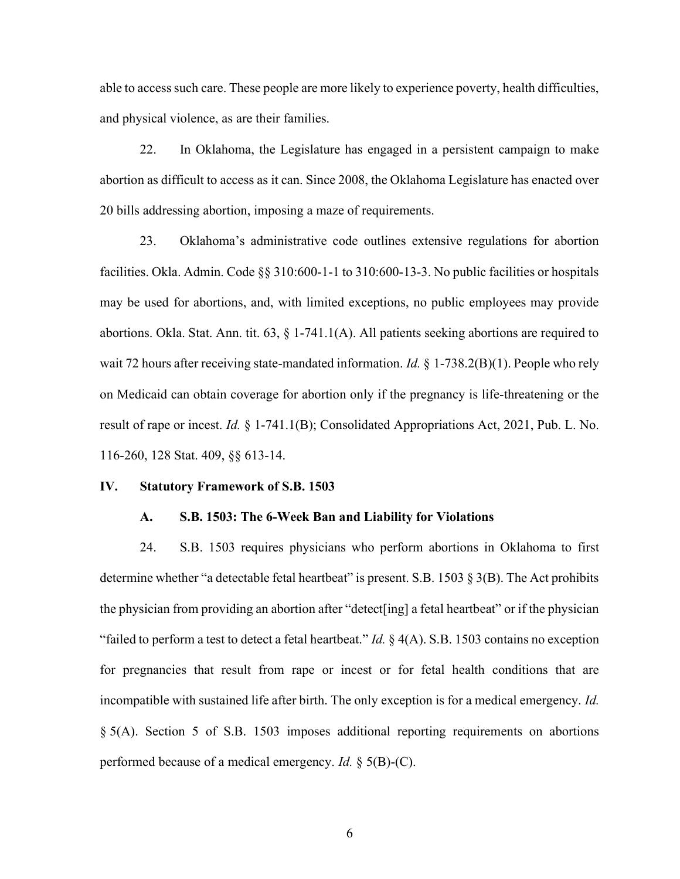able to access such care. These people are more likely to experience poverty, health difficulties, and physical violence, as are their families.

22. In Oklahoma, the Legislature has engaged in a persistent campaign to make abortion as difficult to access as it can. Since 2008, the Oklahoma Legislature has enacted over 20 bills addressing abortion, imposing a maze of requirements.

23. Oklahoma's administrative code outlines extensive regulations for abortion facilities. Okla. Admin. Code §§ 310:600-1-1 to 310:600-13-3. No public facilities or hospitals may be used for abortions, and, with limited exceptions, no public employees may provide abortions. Okla. Stat. Ann. tit. 63, § 1-741.1(A). All patients seeking abortions are required to wait 72 hours after receiving state-mandated information. *Id.* § 1-738.2(B)(1). People who rely on Medicaid can obtain coverage for abortion only if the pregnancy is life-threatening or the result of rape or incest. Id. § 1-741.1(B); Consolidated Appropriations Act, 2021, Pub. L. No. 116-260, 128 Stat. 409, §§ 613-14.

#### IV. Statutory Framework of S.B. 1503

#### A. S.B. 1503: The 6-Week Ban and Liability for Violations

24. S.B. 1503 requires physicians who perform abortions in Oklahoma to first determine whether "a detectable fetal heartbeat" is present. S.B. 1503 § 3(B). The Act prohibits the physician from providing an abortion after "detect[ing] a fetal heartbeat" or if the physician "failed to perform a test to detect a fetal heartbeat." *Id.*  $\S$  4(A). S.B. 1503 contains no exception for pregnancies that result from rape or incest or for fetal health conditions that are incompatible with sustained life after birth. The only exception is for a medical emergency. Id. § 5(A). Section 5 of S.B. 1503 imposes additional reporting requirements on abortions performed because of a medical emergency. *Id.* § 5(B)-(C).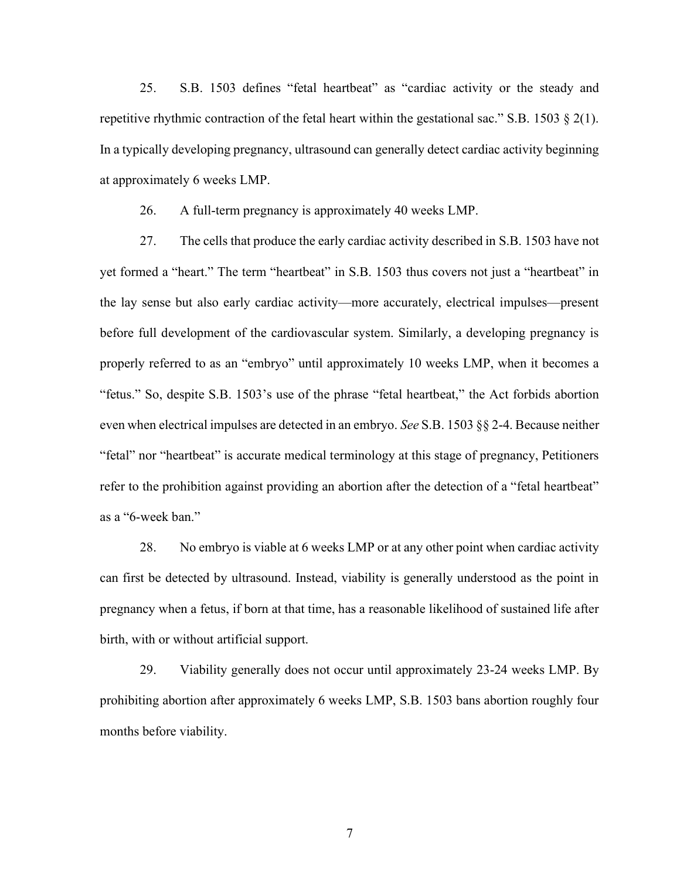25. S.B. 1503 defines "fetal heartbeat" as "cardiac activity or the steady and repetitive rhythmic contraction of the fetal heart within the gestational sac." S.B. 1503  $\S$  2(1). In a typically developing pregnancy, ultrasound can generally detect cardiac activity beginning at approximately 6 weeks LMP.

26. A full-term pregnancy is approximately 40 weeks LMP.

27. The cells that produce the early cardiac activity described in S.B. 1503 have not yet formed a "heart." The term "heartbeat" in S.B. 1503 thus covers not just a "heartbeat" in the lay sense but also early cardiac activity—more accurately, electrical impulses—present before full development of the cardiovascular system. Similarly, a developing pregnancy is properly referred to as an "embryo" until approximately 10 weeks LMP, when it becomes a "fetus." So, despite S.B. 1503's use of the phrase "fetal heartbeat," the Act forbids abortion even when electrical impulses are detected in an embryo. See S.B. 1503  $\S$  2-4. Because neither "fetal" nor "heartbeat" is accurate medical terminology at this stage of pregnancy, Petitioners refer to the prohibition against providing an abortion after the detection of a "fetal heartbeat" as a "6-week ban."

28. No embryo is viable at 6 weeks LMP or at any other point when cardiac activity can first be detected by ultrasound. Instead, viability is generally understood as the point in pregnancy when a fetus, if born at that time, has a reasonable likelihood of sustained life after birth, with or without artificial support.

29. Viability generally does not occur until approximately 23-24 weeks LMP. By prohibiting abortion after approximately 6 weeks LMP, S.B. 1503 bans abortion roughly four months before viability.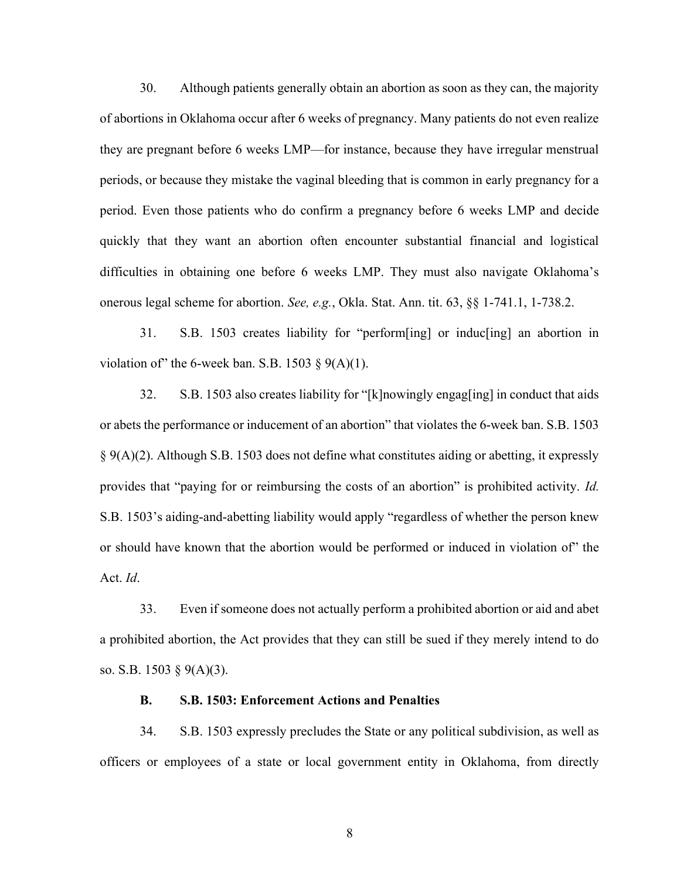30. Although patients generally obtain an abortion as soon as they can, the majority of abortions in Oklahoma occur after 6 weeks of pregnancy. Many patients do not even realize they are pregnant before 6 weeks LMP—for instance, because they have irregular menstrual periods, or because they mistake the vaginal bleeding that is common in early pregnancy for a period. Even those patients who do confirm a pregnancy before 6 weeks LMP and decide quickly that they want an abortion often encounter substantial financial and logistical difficulties in obtaining one before 6 weeks LMP. They must also navigate Oklahoma's onerous legal scheme for abortion. See, e.g., Okla. Stat. Ann. tit. 63, §§ 1-741.1, 1-738.2.

31. S.B. 1503 creates liability for "perform[ing] or induc[ing] an abortion in violation of" the 6-week ban. S.B. 1503  $\S$  9(A)(1).

32. S.B. 1503 also creates liability for "[k]nowingly engag[ing] in conduct that aids or abets the performance or inducement of an abortion" that violates the 6-week ban. S.B. 1503 § 9(A)(2). Although S.B. 1503 does not define what constitutes aiding or abetting, it expressly provides that "paying for or reimbursing the costs of an abortion" is prohibited activity. Id. S.B. 1503's aiding-and-abetting liability would apply "regardless of whether the person knew or should have known that the abortion would be performed or induced in violation of" the Act. Id.

33. Even if someone does not actually perform a prohibited abortion or aid and abet a prohibited abortion, the Act provides that they can still be sued if they merely intend to do so. S.B. 1503 § 9(A)(3).

#### B. S.B. 1503: Enforcement Actions and Penalties

34. S.B. 1503 expressly precludes the State or any political subdivision, as well as officers or employees of a state or local government entity in Oklahoma, from directly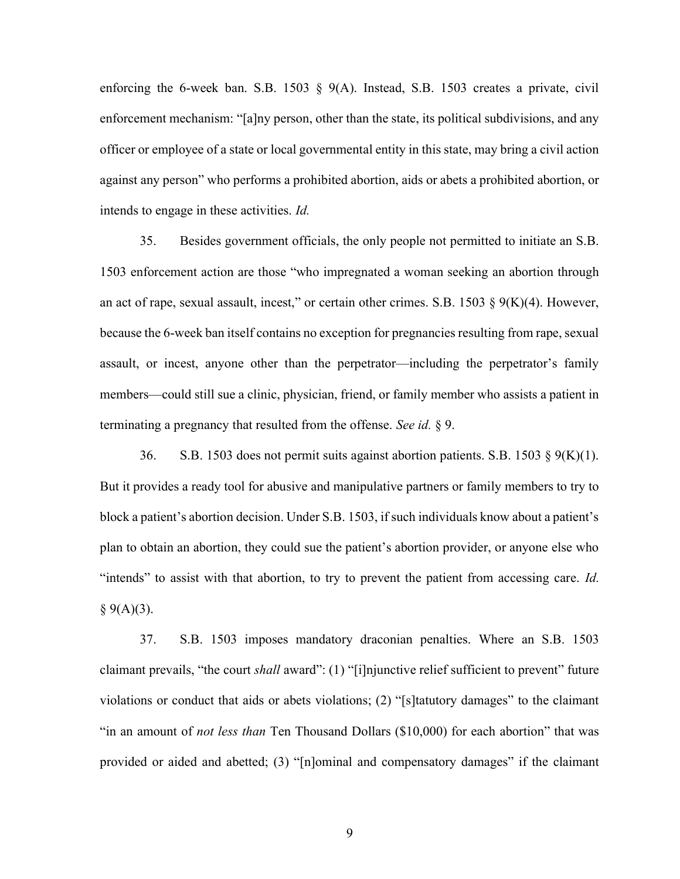enforcing the 6-week ban. S.B. 1503 § 9(A). Instead, S.B. 1503 creates a private, civil enforcement mechanism: "[a]ny person, other than the state, its political subdivisions, and any officer or employee of a state or local governmental entity in this state, may bring a civil action against any person" who performs a prohibited abortion, aids or abets a prohibited abortion, or intends to engage in these activities. Id.

35. Besides government officials, the only people not permitted to initiate an S.B. 1503 enforcement action are those "who impregnated a woman seeking an abortion through an act of rape, sexual assault, incest," or certain other crimes. S.B. 1503  $\S$  9(K)(4). However, because the 6-week ban itself contains no exception for pregnancies resulting from rape, sexual assault, or incest, anyone other than the perpetrator—including the perpetrator's family members—could still sue a clinic, physician, friend, or family member who assists a patient in terminating a pregnancy that resulted from the offense. See id. § 9.

36. S.B. 1503 does not permit suits against abortion patients. S.B. 1503 § 9(K)(1). But it provides a ready tool for abusive and manipulative partners or family members to try to block a patient's abortion decision. Under S.B. 1503, if such individuals know about a patient's plan to obtain an abortion, they could sue the patient's abortion provider, or anyone else who "intends" to assist with that abortion, to try to prevent the patient from accessing care. Id.  $§ 9(A)(3).$ 

37. S.B. 1503 imposes mandatory draconian penalties. Where an S.B. 1503 claimant prevails, "the court shall award": (1) "[i]njunctive relief sufficient to prevent" future violations or conduct that aids or abets violations; (2) "[s]tatutory damages" to the claimant "in an amount of not less than Ten Thousand Dollars (\$10,000) for each abortion" that was provided or aided and abetted; (3) "[n]ominal and compensatory damages" if the claimant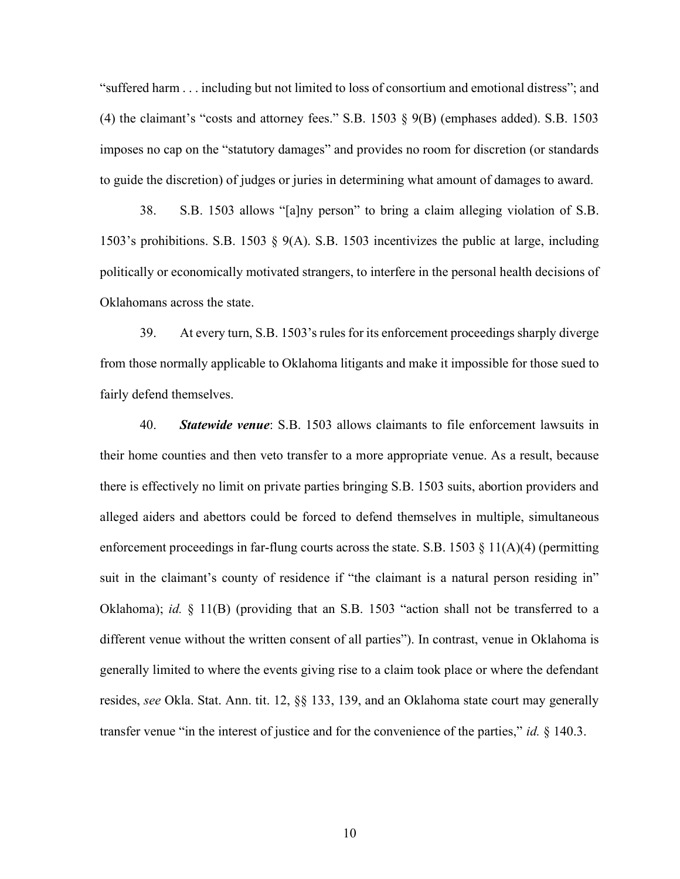"suffered harm . . . including but not limited to loss of consortium and emotional distress"; and (4) the claimant's "costs and attorney fees." S.B. 1503 § 9(B) (emphases added). S.B. 1503 imposes no cap on the "statutory damages" and provides no room for discretion (or standards to guide the discretion) of judges or juries in determining what amount of damages to award.

38. S.B. 1503 allows "[a]ny person" to bring a claim alleging violation of S.B. 1503's prohibitions. S.B. 1503 § 9(A). S.B. 1503 incentivizes the public at large, including politically or economically motivated strangers, to interfere in the personal health decisions of Oklahomans across the state.

39. At every turn, S.B. 1503's rules for its enforcement proceedings sharply diverge from those normally applicable to Oklahoma litigants and make it impossible for those sued to fairly defend themselves.

40. Statewide venue: S.B. 1503 allows claimants to file enforcement lawsuits in their home counties and then veto transfer to a more appropriate venue. As a result, because there is effectively no limit on private parties bringing S.B. 1503 suits, abortion providers and alleged aiders and abettors could be forced to defend themselves in multiple, simultaneous enforcement proceedings in far-flung courts across the state. S.B. 1503  $\S$  11(A)(4) (permitting suit in the claimant's county of residence if "the claimant is a natural person residing in" Oklahoma); id.  $\S$  11(B) (providing that an S.B. 1503 "action shall not be transferred to a different venue without the written consent of all parties"). In contrast, venue in Oklahoma is generally limited to where the events giving rise to a claim took place or where the defendant resides, see Okla. Stat. Ann. tit. 12, §§ 133, 139, and an Oklahoma state court may generally transfer venue "in the interest of justice and for the convenience of the parties," id.  $\S$  140.3.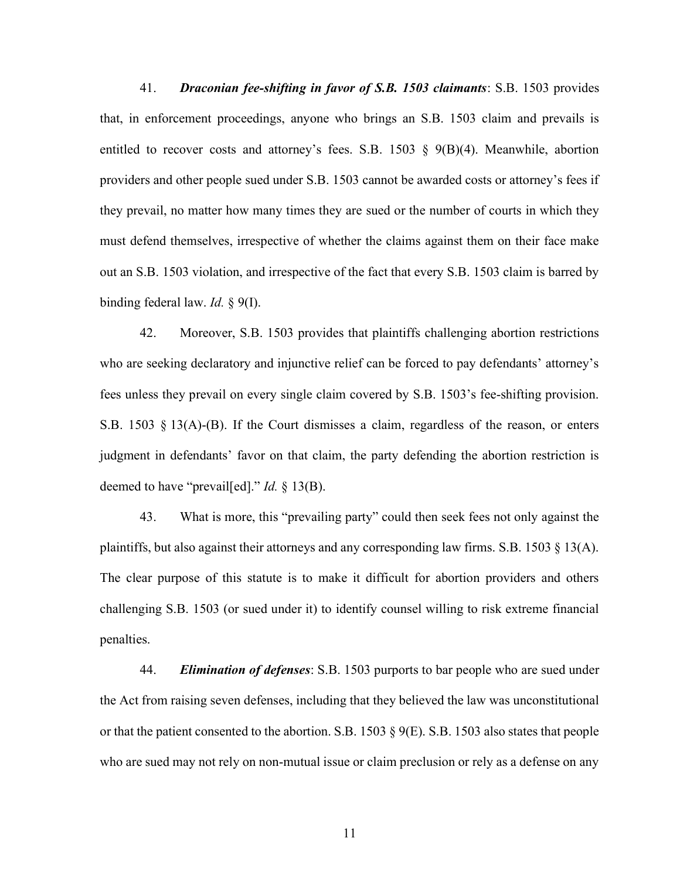41. **Draconian fee-shifting in favor of S.B. 1503 claimants**: S.B. 1503 provides that, in enforcement proceedings, anyone who brings an S.B. 1503 claim and prevails is entitled to recover costs and attorney's fees. S.B. 1503 § 9(B)(4). Meanwhile, abortion providers and other people sued under S.B. 1503 cannot be awarded costs or attorney's fees if they prevail, no matter how many times they are sued or the number of courts in which they must defend themselves, irrespective of whether the claims against them on their face make out an S.B. 1503 violation, and irrespective of the fact that every S.B. 1503 claim is barred by binding federal law. *Id.* § 9(I).

42. Moreover, S.B. 1503 provides that plaintiffs challenging abortion restrictions who are seeking declaratory and injunctive relief can be forced to pay defendants' attorney's fees unless they prevail on every single claim covered by S.B. 1503's fee-shifting provision. S.B. 1503 § 13(A)-(B). If the Court dismisses a claim, regardless of the reason, or enters judgment in defendants' favor on that claim, the party defending the abortion restriction is deemed to have "prevail[ed]." *Id.* § 13(B).

43. What is more, this "prevailing party" could then seek fees not only against the plaintiffs, but also against their attorneys and any corresponding law firms. S.B. 1503  $\S$  13(A). The clear purpose of this statute is to make it difficult for abortion providers and others challenging S.B. 1503 (or sued under it) to identify counsel willing to risk extreme financial penalties.

44. Elimination of defenses: S.B. 1503 purports to bar people who are sued under the Act from raising seven defenses, including that they believed the law was unconstitutional or that the patient consented to the abortion. S.B. 1503  $\S$  9(E). S.B. 1503 also states that people who are sued may not rely on non-mutual issue or claim preclusion or rely as a defense on any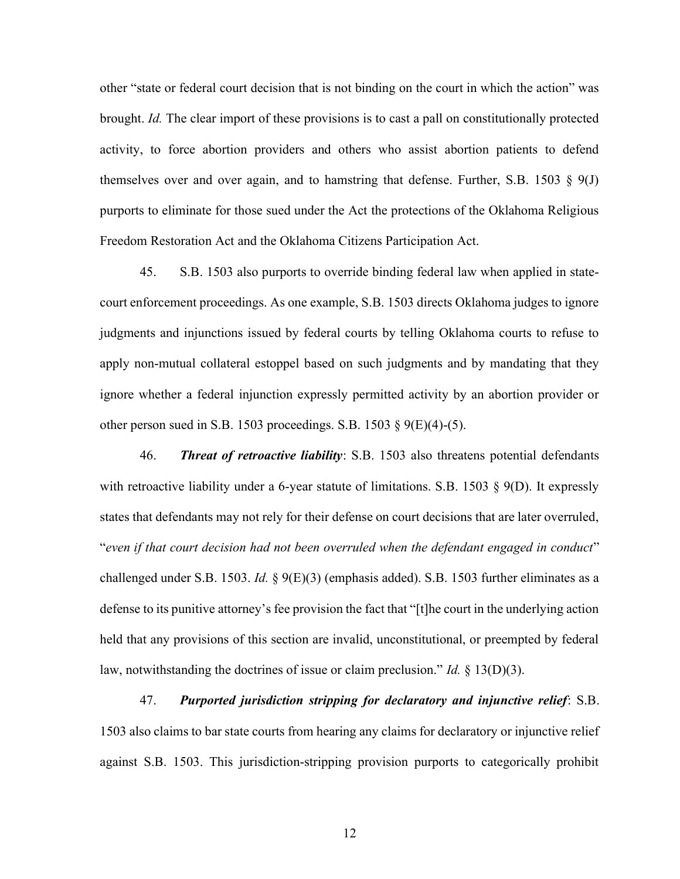other "state or federal court decision that is not binding on the court in which the action" was brought. Id. The clear import of these provisions is to cast a pall on constitutionally protected activity, to force abortion providers and others who assist abortion patients to defend themselves over and over again, and to hamstring that defense. Further, S.B. 1503  $\S$  9(J) purports to eliminate for those sued under the Act the protections of the Oklahoma Religious Freedom Restoration Act and the Oklahoma Citizens Participation Act.

45. S.B. 1503 also purports to override binding federal law when applied in statecourt enforcement proceedings. As one example, S.B. 1503 directs Oklahoma judges to ignore judgments and injunctions issued by federal courts by telling Oklahoma courts to refuse to apply non-mutual collateral estoppel based on such judgments and by mandating that they ignore whether a federal injunction expressly permitted activity by an abortion provider or other person sued in S.B. 1503 proceedings. S.B. 1503  $\S$  9(E)(4)-(5).

46. Threat of retroactive liability: S.B. 1503 also threatens potential defendants with retroactive liability under a 6-year statute of limitations. S.B. 1503  $\S$  9(D). It expressly states that defendants may not rely for their defense on court decisions that are later overruled, "even if that court decision had not been overruled when the defendant engaged in conduct" challenged under S.B. 1503. Id. §  $9(E)(3)$  (emphasis added). S.B. 1503 further eliminates as a defense to its punitive attorney's fee provision the fact that "[t]he court in the underlying action held that any provisions of this section are invalid, unconstitutional, or preempted by federal law, notwithstanding the doctrines of issue or claim preclusion." Id.  $\S$  13(D)(3).

47. Purported jurisdiction stripping for declaratory and injunctive relief: S.B. 1503 also claims to bar state courts from hearing any claims for declaratory or injunctive relief against S.B. 1503. This jurisdiction-stripping provision purports to categorically prohibit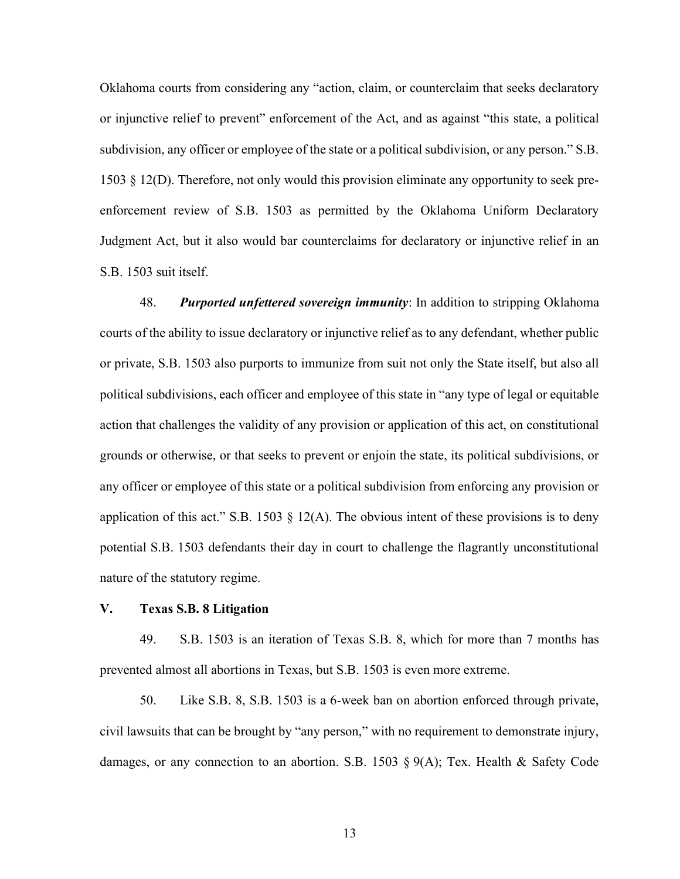Oklahoma courts from considering any "action, claim, or counterclaim that seeks declaratory or injunctive relief to prevent" enforcement of the Act, and as against "this state, a political subdivision, any officer or employee of the state or a political subdivision, or any person." S.B. 1503 § 12(D). Therefore, not only would this provision eliminate any opportunity to seek preenforcement review of S.B. 1503 as permitted by the Oklahoma Uniform Declaratory Judgment Act, but it also would bar counterclaims for declaratory or injunctive relief in an S.B. 1503 suit itself.

48. Purported unfettered sovereign immunity: In addition to stripping Oklahoma courts of the ability to issue declaratory or injunctive relief as to any defendant, whether public or private, S.B. 1503 also purports to immunize from suit not only the State itself, but also all political subdivisions, each officer and employee of this state in "any type of legal or equitable action that challenges the validity of any provision or application of this act, on constitutional grounds or otherwise, or that seeks to prevent or enjoin the state, its political subdivisions, or any officer or employee of this state or a political subdivision from enforcing any provision or application of this act." S.B. 1503  $\S$  12(A). The obvious intent of these provisions is to deny potential S.B. 1503 defendants their day in court to challenge the flagrantly unconstitutional nature of the statutory regime.

#### V. Texas S.B. 8 Litigation

49. S.B. 1503 is an iteration of Texas S.B. 8, which for more than 7 months has prevented almost all abortions in Texas, but S.B. 1503 is even more extreme.

50. Like S.B. 8, S.B. 1503 is a 6-week ban on abortion enforced through private, civil lawsuits that can be brought by "any person," with no requirement to demonstrate injury, damages, or any connection to an abortion. S.B. 1503 § 9(A); Tex. Health & Safety Code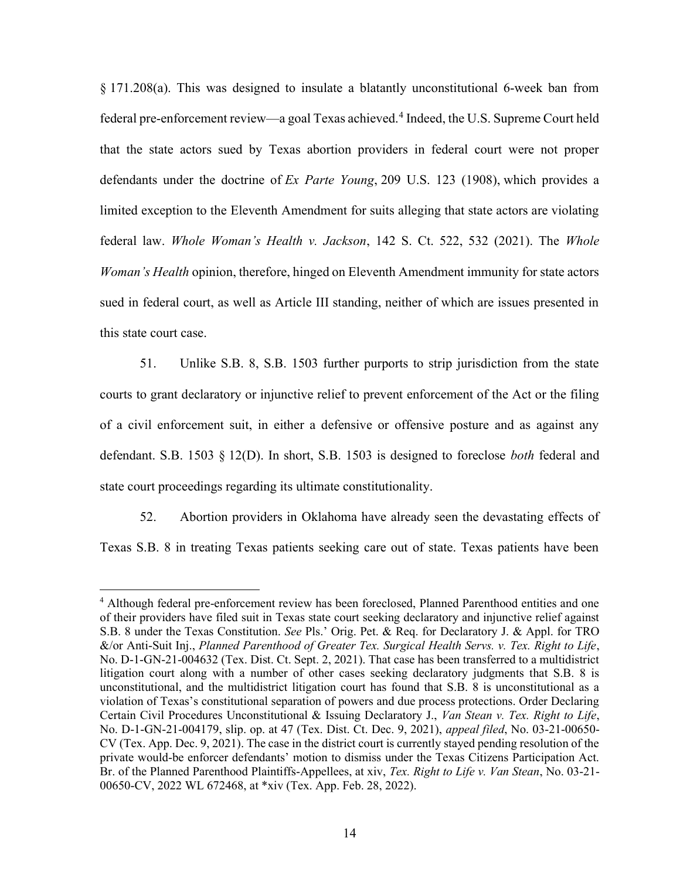§ 171.208(a). This was designed to insulate a blatantly unconstitutional 6-week ban from federal pre-enforcement review—a goal Texas achieved.<sup>4</sup> Indeed, the U.S. Supreme Court held that the state actors sued by Texas abortion providers in federal court were not proper defendants under the doctrine of Ex Parte Young, 209 U.S. 123 (1908), which provides a limited exception to the Eleventh Amendment for suits alleging that state actors are violating federal law. Whole Woman's Health v. Jackson, 142 S. Ct. 522, 532 (2021). The Whole Woman's Health opinion, therefore, hinged on Eleventh Amendment immunity for state actors sued in federal court, as well as Article III standing, neither of which are issues presented in this state court case.

51. Unlike S.B. 8, S.B. 1503 further purports to strip jurisdiction from the state courts to grant declaratory or injunctive relief to prevent enforcement of the Act or the filing of a civil enforcement suit, in either a defensive or offensive posture and as against any defendant. S.B. 1503 § 12(D). In short, S.B. 1503 is designed to foreclose both federal and state court proceedings regarding its ultimate constitutionality.

52. Abortion providers in Oklahoma have already seen the devastating effects of Texas S.B. 8 in treating Texas patients seeking care out of state. Texas patients have been

<sup>&</sup>lt;sup>4</sup> Although federal pre-enforcement review has been foreclosed, Planned Parenthood entities and one of their providers have filed suit in Texas state court seeking declaratory and injunctive relief against S.B. 8 under the Texas Constitution. See Pls.' Orig. Pet. & Req. for Declaratory J. & Appl. for TRO &/or Anti-Suit Inj., Planned Parenthood of Greater Tex. Surgical Health Servs. v. Tex. Right to Life, No. D-1-GN-21-004632 (Tex. Dist. Ct. Sept. 2, 2021). That case has been transferred to a multidistrict litigation court along with a number of other cases seeking declaratory judgments that S.B. 8 is unconstitutional, and the multidistrict litigation court has found that S.B. 8 is unconstitutional as a violation of Texas's constitutional separation of powers and due process protections. Order Declaring Certain Civil Procedures Unconstitutional & Issuing Declaratory J., Van Stean v. Tex. Right to Life, No. D-1-GN-21-004179, slip. op. at 47 (Tex. Dist. Ct. Dec. 9, 2021), appeal filed, No. 03-21-00650- CV (Tex. App. Dec. 9, 2021). The case in the district court is currently stayed pending resolution of the private would-be enforcer defendants' motion to dismiss under the Texas Citizens Participation Act. Br. of the Planned Parenthood Plaintiffs-Appellees, at xiv, Tex. Right to Life v. Van Stean, No. 03-21-00650-CV, 2022 WL 672468, at \*xiv (Tex. App. Feb. 28, 2022).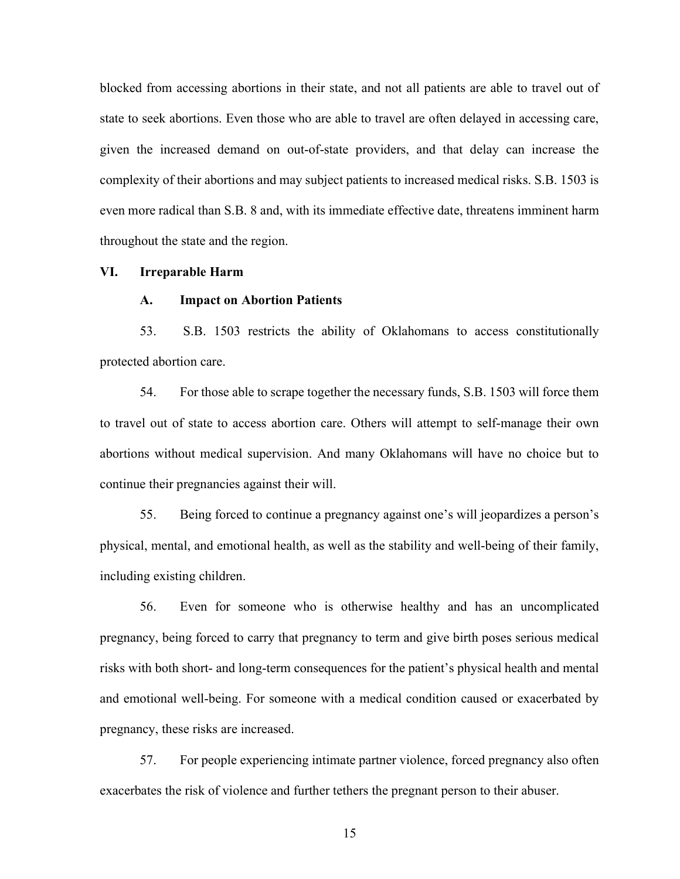blocked from accessing abortions in their state, and not all patients are able to travel out of state to seek abortions. Even those who are able to travel are often delayed in accessing care, given the increased demand on out-of-state providers, and that delay can increase the complexity of their abortions and may subject patients to increased medical risks. S.B. 1503 is even more radical than S.B. 8 and, with its immediate effective date, threatens imminent harm throughout the state and the region.

# VI. Irreparable Harm

#### A. Impact on Abortion Patients

53. S.B. 1503 restricts the ability of Oklahomans to access constitutionally protected abortion care.

54. For those able to scrape together the necessary funds, S.B. 1503 will force them to travel out of state to access abortion care. Others will attempt to self-manage their own abortions without medical supervision. And many Oklahomans will have no choice but to continue their pregnancies against their will.

55. Being forced to continue a pregnancy against one's will jeopardizes a person's physical, mental, and emotional health, as well as the stability and well-being of their family, including existing children.

56. Even for someone who is otherwise healthy and has an uncomplicated pregnancy, being forced to carry that pregnancy to term and give birth poses serious medical risks with both short- and long-term consequences for the patient's physical health and mental and emotional well-being. For someone with a medical condition caused or exacerbated by pregnancy, these risks are increased.

57. For people experiencing intimate partner violence, forced pregnancy also often exacerbates the risk of violence and further tethers the pregnant person to their abuser.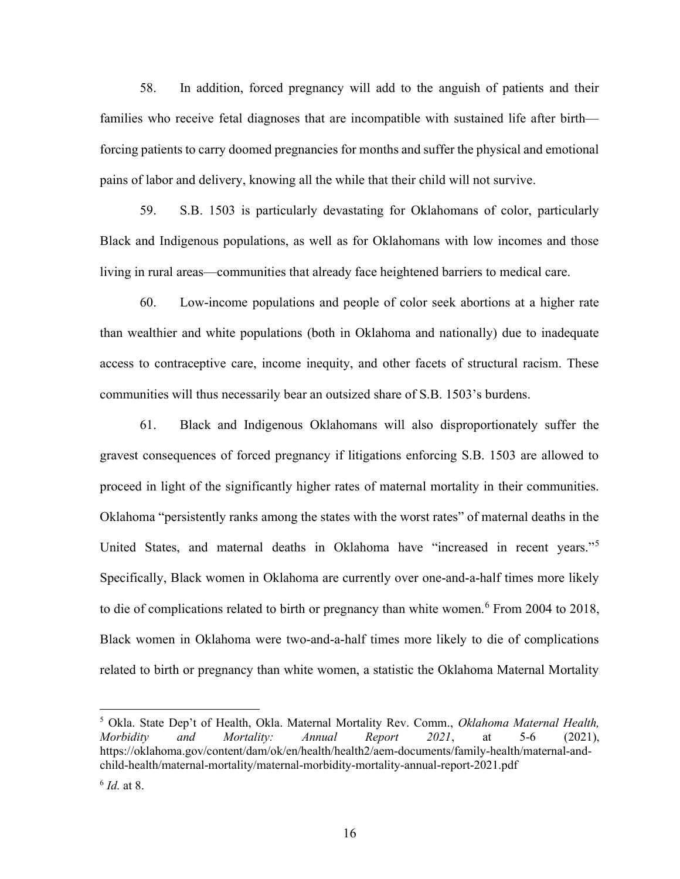58. In addition, forced pregnancy will add to the anguish of patients and their families who receive fetal diagnoses that are incompatible with sustained life after birth forcing patients to carry doomed pregnancies for months and suffer the physical and emotional pains of labor and delivery, knowing all the while that their child will not survive.

59. S.B. 1503 is particularly devastating for Oklahomans of color, particularly Black and Indigenous populations, as well as for Oklahomans with low incomes and those living in rural areas—communities that already face heightened barriers to medical care.

60. Low-income populations and people of color seek abortions at a higher rate than wealthier and white populations (both in Oklahoma and nationally) due to inadequate access to contraceptive care, income inequity, and other facets of structural racism. These communities will thus necessarily bear an outsized share of S.B. 1503's burdens.

61. Black and Indigenous Oklahomans will also disproportionately suffer the gravest consequences of forced pregnancy if litigations enforcing S.B. 1503 are allowed to proceed in light of the significantly higher rates of maternal mortality in their communities. Oklahoma "persistently ranks among the states with the worst rates" of maternal deaths in the United States, and maternal deaths in Oklahoma have "increased in recent years."<sup>5</sup> Specifically, Black women in Oklahoma are currently over one-and-a-half times more likely to die of complications related to birth or pregnancy than white women.  $6$  From 2004 to 2018, Black women in Oklahoma were two-and-a-half times more likely to die of complications related to birth or pregnancy than white women, a statistic the Oklahoma Maternal Mortality

<sup>&</sup>lt;sup>5</sup> Okla. State Dep't of Health, Okla. Maternal Mortality Rev. Comm., Oklahoma Maternal Health, Morbidity and Mortality: Annual Report 2021, at 5-6 (2021), https://oklahoma.gov/content/dam/ok/en/health/health2/aem-documents/family-health/maternal-andchild-health/maternal-mortality/maternal-morbidity-mortality-annual-report-2021.pdf

 $^6$  Id. at 8.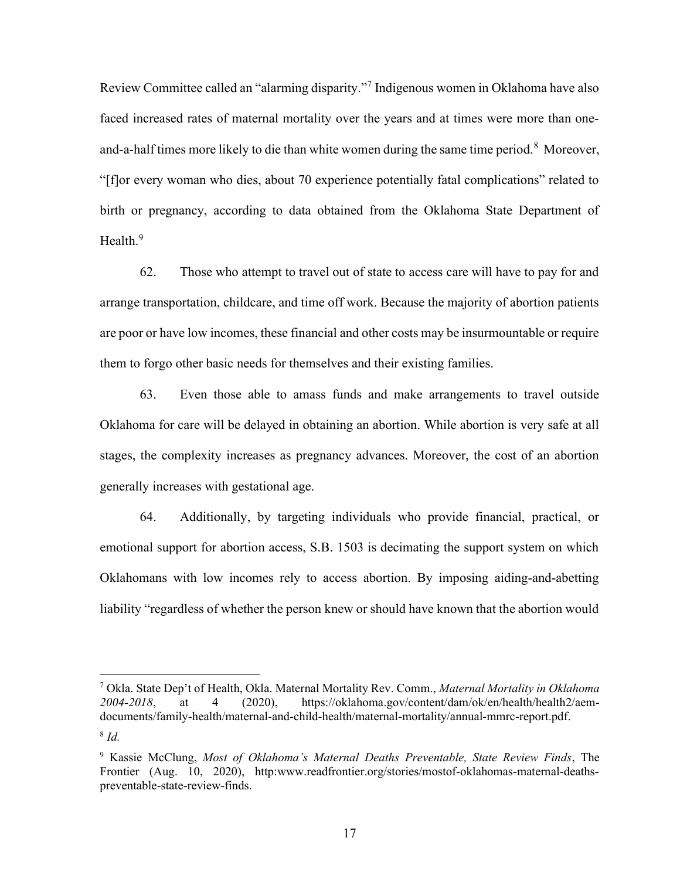Review Committee called an "alarming disparity."<sup>7</sup> Indigenous women in Oklahoma have also faced increased rates of maternal mortality over the years and at times were more than oneand-a-half times more likely to die than white women during the same time period.<sup>8</sup> Moreover, "[f]or every woman who dies, about 70 experience potentially fatal complications" related to birth or pregnancy, according to data obtained from the Oklahoma State Department of Health. $9$ 

62. Those who attempt to travel out of state to access care will have to pay for and arrange transportation, childcare, and time off work. Because the majority of abortion patients are poor or have low incomes, these financial and other costs may be insurmountable or require them to forgo other basic needs for themselves and their existing families.

63. Even those able to amass funds and make arrangements to travel outside Oklahoma for care will be delayed in obtaining an abortion. While abortion is very safe at all stages, the complexity increases as pregnancy advances. Moreover, the cost of an abortion generally increases with gestational age.

64. Additionally, by targeting individuals who provide financial, practical, or emotional support for abortion access, S.B. 1503 is decimating the support system on which Oklahomans with low incomes rely to access abortion. By imposing aiding-and-abetting liability "regardless of whether the person knew or should have known that the abortion would

<sup>&</sup>lt;sup>7</sup> Okla. State Dep't of Health, Okla. Maternal Mortality Rev. Comm., *Maternal Mortality in Oklahoma* 2004-2018, at 4 (2020), https://oklahoma.gov/content/dam/ok/en/health/health2/aemdocuments/family-health/maternal-and-child-health/maternal-mortality/annual-mmrc-report.pdf.  $8$  Id.

<sup>&</sup>lt;sup>9</sup> Kassie McClung, Most of Oklahoma's Maternal Deaths Preventable, State Review Finds, The Frontier (Aug. 10, 2020), http:www.readfrontier.org/stories/mostof-oklahomas-maternal-deathspreventable-state-review-finds.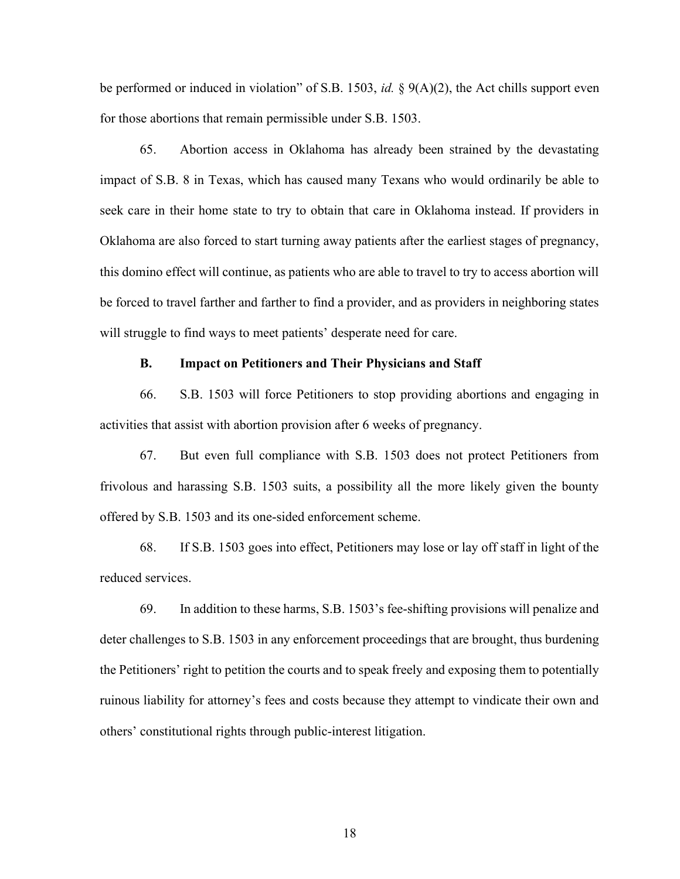be performed or induced in violation" of S.B. 1503, *id.* §  $9(A)(2)$ , the Act chills support even for those abortions that remain permissible under S.B. 1503.

65. Abortion access in Oklahoma has already been strained by the devastating impact of S.B. 8 in Texas, which has caused many Texans who would ordinarily be able to seek care in their home state to try to obtain that care in Oklahoma instead. If providers in Oklahoma are also forced to start turning away patients after the earliest stages of pregnancy, this domino effect will continue, as patients who are able to travel to try to access abortion will be forced to travel farther and farther to find a provider, and as providers in neighboring states will struggle to find ways to meet patients' desperate need for care.

### B. Impact on Petitioners and Their Physicians and Staff

66. S.B. 1503 will force Petitioners to stop providing abortions and engaging in activities that assist with abortion provision after 6 weeks of pregnancy.

67. But even full compliance with S.B. 1503 does not protect Petitioners from frivolous and harassing S.B. 1503 suits, a possibility all the more likely given the bounty offered by S.B. 1503 and its one-sided enforcement scheme.

68. If S.B. 1503 goes into effect, Petitioners may lose or lay off staff in light of the reduced services.

69. In addition to these harms, S.B. 1503's fee-shifting provisions will penalize and deter challenges to S.B. 1503 in any enforcement proceedings that are brought, thus burdening the Petitioners' right to petition the courts and to speak freely and exposing them to potentially ruinous liability for attorney's fees and costs because they attempt to vindicate their own and others' constitutional rights through public-interest litigation.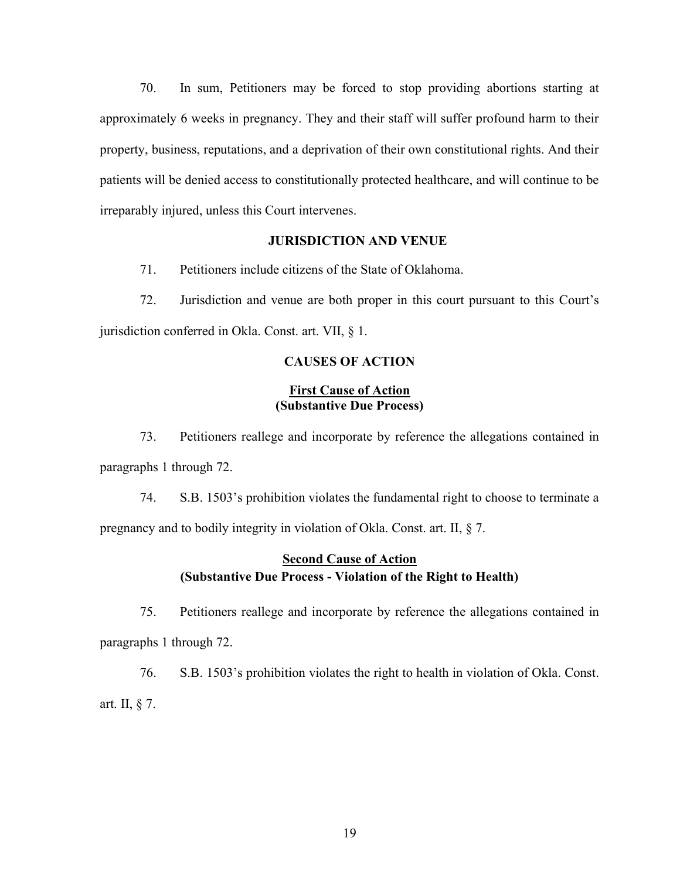70. In sum, Petitioners may be forced to stop providing abortions starting at approximately 6 weeks in pregnancy. They and their staff will suffer profound harm to their property, business, reputations, and a deprivation of their own constitutional rights. And their patients will be denied access to constitutionally protected healthcare, and will continue to be irreparably injured, unless this Court intervenes.

#### JURISDICTION AND VENUE

71. Petitioners include citizens of the State of Oklahoma.

72. Jurisdiction and venue are both proper in this court pursuant to this Court's jurisdiction conferred in Okla. Const. art. VII, § 1.

# CAUSES OF ACTION

# First Cause of Action (Substantive Due Process)

73. Petitioners reallege and incorporate by reference the allegations contained in paragraphs 1 through 72.

74. S.B. 1503's prohibition violates the fundamental right to choose to terminate a pregnancy and to bodily integrity in violation of Okla. Const. art. II, § 7.

# Second Cause of Action (Substantive Due Process - Violation of the Right to Health)

75. Petitioners reallege and incorporate by reference the allegations contained in paragraphs 1 through 72.

76. S.B. 1503's prohibition violates the right to health in violation of Okla. Const. art. II, § 7.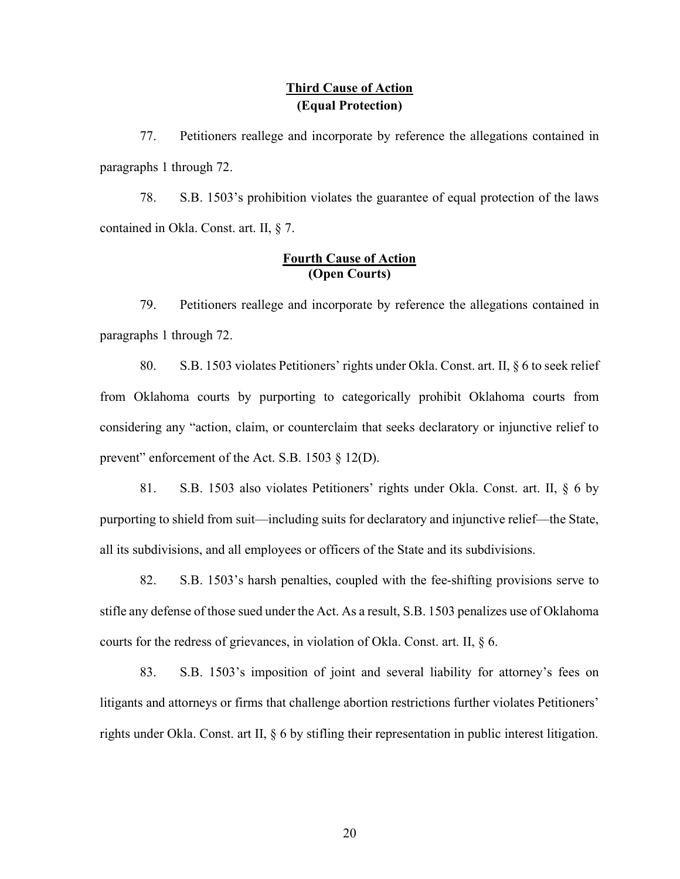# Third Cause of Action (Equal Protection)

77. Petitioners reallege and incorporate by reference the allegations contained in paragraphs 1 through 72.

78. S.B. 1503's prohibition violates the guarantee of equal protection of the laws contained in Okla. Const. art. II, § 7.

# Fourth Cause of Action (Open Courts)

79. Petitioners reallege and incorporate by reference the allegations contained in paragraphs 1 through 72.

80. S.B. 1503 violates Petitioners' rights under Okla. Const. art. II, § 6 to seek relief from Oklahoma courts by purporting to categorically prohibit Oklahoma courts from considering any "action, claim, or counterclaim that seeks declaratory or injunctive relief to prevent" enforcement of the Act. S.B. 1503 § 12(D).

81. S.B. 1503 also violates Petitioners' rights under Okla. Const. art. II, § 6 by purporting to shield from suit—including suits for declaratory and injunctive relief—the State, all its subdivisions, and all employees or officers of the State and its subdivisions.

82. S.B. 1503's harsh penalties, coupled with the fee-shifting provisions serve to stifle any defense of those sued under the Act. As a result, S.B. 1503 penalizes use of Oklahoma courts for the redress of grievances, in violation of Okla. Const. art. II, § 6.

83. S.B. 1503's imposition of joint and several liability for attorney's fees on litigants and attorneys or firms that challenge abortion restrictions further violates Petitioners' rights under Okla. Const. art II, § 6 by stifling their representation in public interest litigation.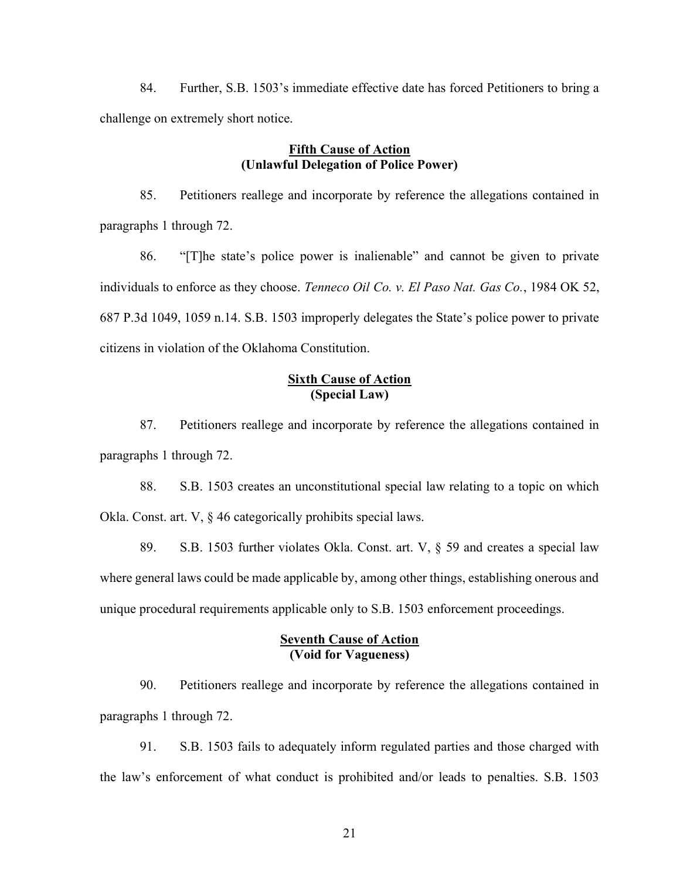84. Further, S.B. 1503's immediate effective date has forced Petitioners to bring a challenge on extremely short notice.

# Fifth Cause of Action (Unlawful Delegation of Police Power)

85. Petitioners reallege and incorporate by reference the allegations contained in paragraphs 1 through 72.

86. "[T]he state's police power is inalienable" and cannot be given to private individuals to enforce as they choose. Tenneco Oil Co. v. El Paso Nat. Gas Co., 1984 OK 52, 687 P.3d 1049, 1059 n.14. S.B. 1503 improperly delegates the State's police power to private citizens in violation of the Oklahoma Constitution.

# Sixth Cause of Action (Special Law)

87. Petitioners reallege and incorporate by reference the allegations contained in paragraphs 1 through 72.

88. S.B. 1503 creates an unconstitutional special law relating to a topic on which Okla. Const. art. V, § 46 categorically prohibits special laws.

89. S.B. 1503 further violates Okla. Const. art. V, § 59 and creates a special law where general laws could be made applicable by, among other things, establishing onerous and unique procedural requirements applicable only to S.B. 1503 enforcement proceedings.

### Seventh Cause of Action (Void for Vagueness)

90. Petitioners reallege and incorporate by reference the allegations contained in paragraphs 1 through 72.

91. S.B. 1503 fails to adequately inform regulated parties and those charged with the law's enforcement of what conduct is prohibited and/or leads to penalties. S.B. 1503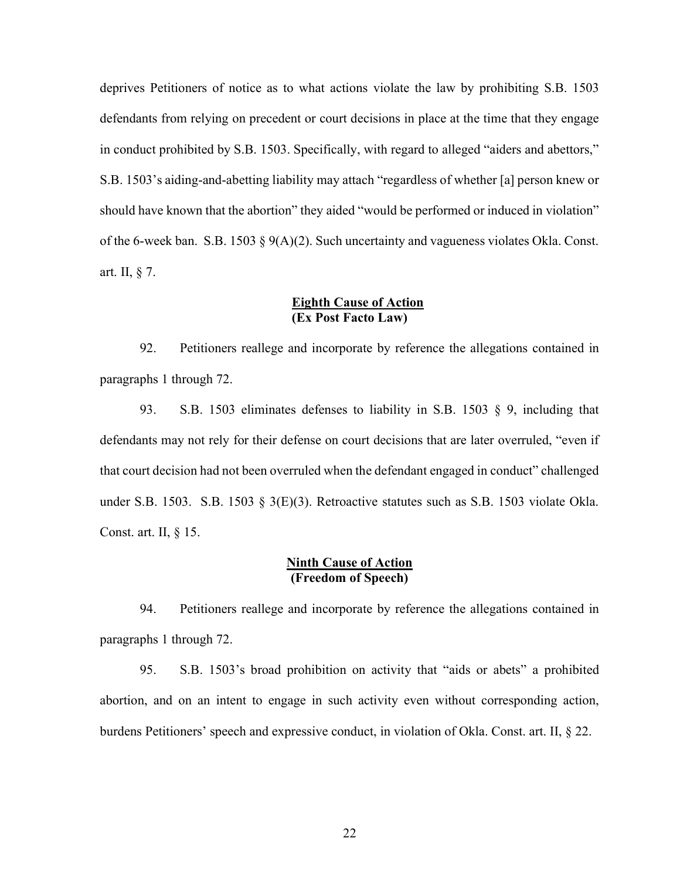deprives Petitioners of notice as to what actions violate the law by prohibiting S.B. 1503 defendants from relying on precedent or court decisions in place at the time that they engage in conduct prohibited by S.B. 1503. Specifically, with regard to alleged "aiders and abettors," S.B. 1503's aiding-and-abetting liability may attach "regardless of whether [a] person knew or should have known that the abortion" they aided "would be performed or induced in violation" of the 6-week ban. S.B. 1503 § 9(A)(2). Such uncertainty and vagueness violates Okla. Const. art. II, § 7.

# Eighth Cause of Action (Ex Post Facto Law)

92. Petitioners reallege and incorporate by reference the allegations contained in paragraphs 1 through 72.

93. S.B. 1503 eliminates defenses to liability in S.B. 1503 § 9, including that defendants may not rely for their defense on court decisions that are later overruled, "even if that court decision had not been overruled when the defendant engaged in conduct" challenged under S.B. 1503. S.B. 1503 § 3(E)(3). Retroactive statutes such as S.B. 1503 violate Okla. Const. art. II, § 15.

# Ninth Cause of Action (Freedom of Speech)

94. Petitioners reallege and incorporate by reference the allegations contained in paragraphs 1 through 72.

95. S.B. 1503's broad prohibition on activity that "aids or abets" a prohibited abortion, and on an intent to engage in such activity even without corresponding action, burdens Petitioners' speech and expressive conduct, in violation of Okla. Const. art. II, § 22.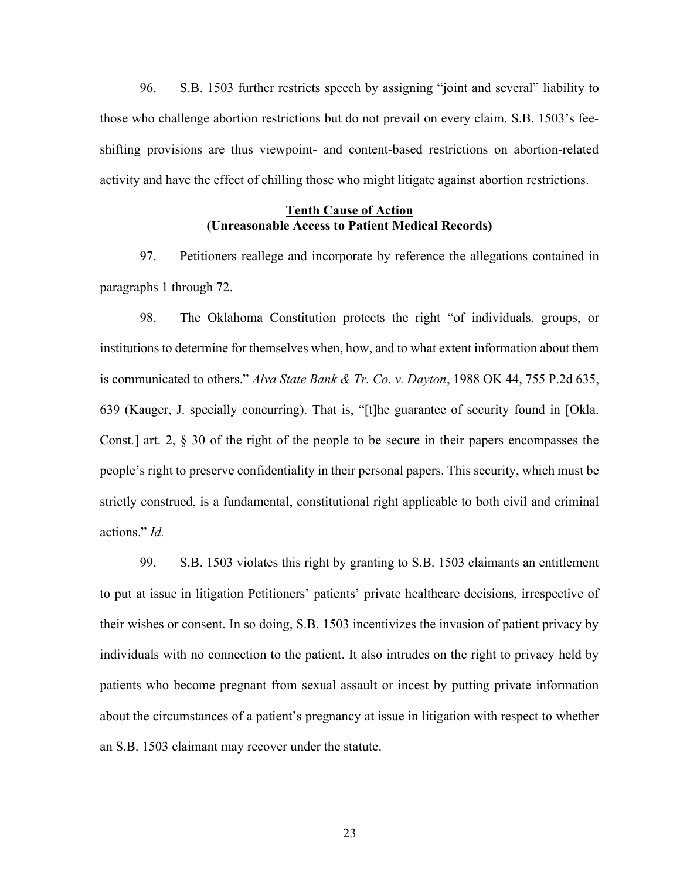96. S.B. 1503 further restricts speech by assigning "joint and several" liability to those who challenge abortion restrictions but do not prevail on every claim. S.B. 1503's feeshifting provisions are thus viewpoint- and content-based restrictions on abortion-related activity and have the effect of chilling those who might litigate against abortion restrictions.

## Tenth Cause of Action (Unreasonable Access to Patient Medical Records)

97. Petitioners reallege and incorporate by reference the allegations contained in paragraphs 1 through 72.

98. The Oklahoma Constitution protects the right "of individuals, groups, or institutions to determine for themselves when, how, and to what extent information about them is communicated to others." Alva State Bank & Tr. Co. v. Dayton, 1988 OK 44, 755 P.2d 635, 639 (Kauger, J. specially concurring). That is, "[t]he guarantee of security found in [Okla. Const.] art. 2, § 30 of the right of the people to be secure in their papers encompasses the people's right to preserve confidentiality in their personal papers. This security, which must be strictly construed, is a fundamental, constitutional right applicable to both civil and criminal actions." Id.

99. S.B. 1503 violates this right by granting to S.B. 1503 claimants an entitlement to put at issue in litigation Petitioners' patients' private healthcare decisions, irrespective of their wishes or consent. In so doing, S.B. 1503 incentivizes the invasion of patient privacy by individuals with no connection to the patient. It also intrudes on the right to privacy held by patients who become pregnant from sexual assault or incest by putting private information about the circumstances of a patient's pregnancy at issue in litigation with respect to whether an S.B. 1503 claimant may recover under the statute.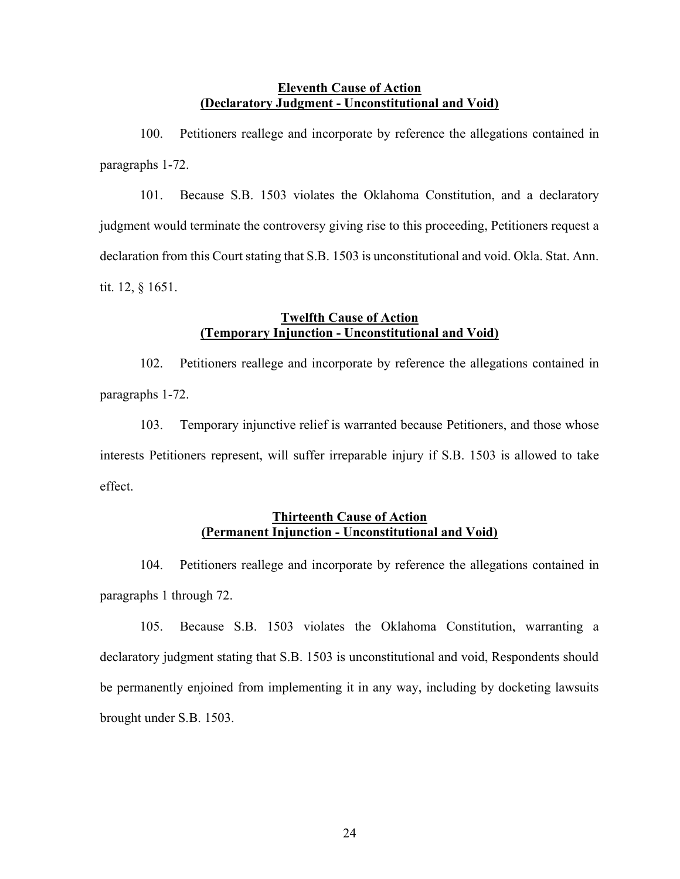### Eleventh Cause of Action (Declaratory Judgment - Unconstitutional and Void)

100. Petitioners reallege and incorporate by reference the allegations contained in paragraphs 1-72.

101. Because S.B. 1503 violates the Oklahoma Constitution, and a declaratory judgment would terminate the controversy giving rise to this proceeding, Petitioners request a declaration from this Court stating that S.B. 1503 is unconstitutional and void. Okla. Stat. Ann. tit. 12, § 1651.

# Twelfth Cause of Action (Temporary Injunction - Unconstitutional and Void)

102. Petitioners reallege and incorporate by reference the allegations contained in paragraphs 1-72.

103. Temporary injunctive relief is warranted because Petitioners, and those whose interests Petitioners represent, will suffer irreparable injury if S.B. 1503 is allowed to take effect.

# Thirteenth Cause of Action (Permanent Injunction - Unconstitutional and Void)

104. Petitioners reallege and incorporate by reference the allegations contained in paragraphs 1 through 72.

105. Because S.B. 1503 violates the Oklahoma Constitution, warranting a declaratory judgment stating that S.B. 1503 is unconstitutional and void, Respondents should be permanently enjoined from implementing it in any way, including by docketing lawsuits brought under S.B. 1503.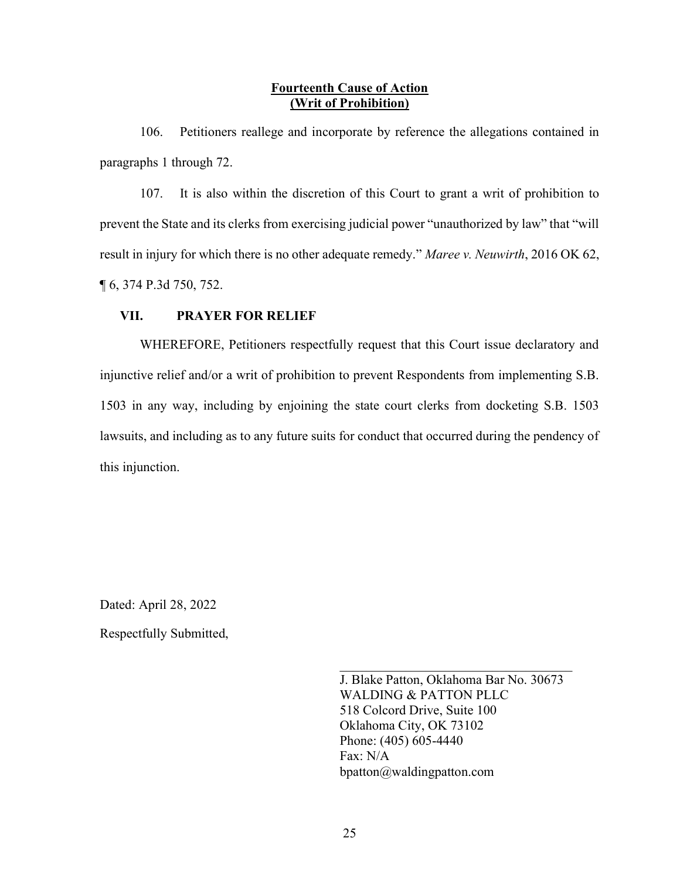### Fourteenth Cause of Action (Writ of Prohibition)

106. Petitioners reallege and incorporate by reference the allegations contained in paragraphs 1 through 72.

107. It is also within the discretion of this Court to grant a writ of prohibition to prevent the State and its clerks from exercising judicial power "unauthorized by law" that "will result in injury for which there is no other adequate remedy." Maree v. Neuwirth, 2016 OK 62, ¶ 6, 374 P.3d 750, 752.

# VII. PRAYER FOR RELIEF

WHEREFORE, Petitioners respectfully request that this Court issue declaratory and injunctive relief and/or a writ of prohibition to prevent Respondents from implementing S.B. 1503 in any way, including by enjoining the state court clerks from docketing S.B. 1503 lawsuits, and including as to any future suits for conduct that occurred during the pendency of this injunction.

Dated: April 28, 2022 Respectfully Submitted,

> J. Blake Patton, Oklahoma Bar No. 30673 WALDING & PATTON PLLC 518 Colcord Drive, Suite 100 Oklahoma City, OK 73102 Phone: (405) 605-4440 Fax: N/A bpatton@waldingpatton.com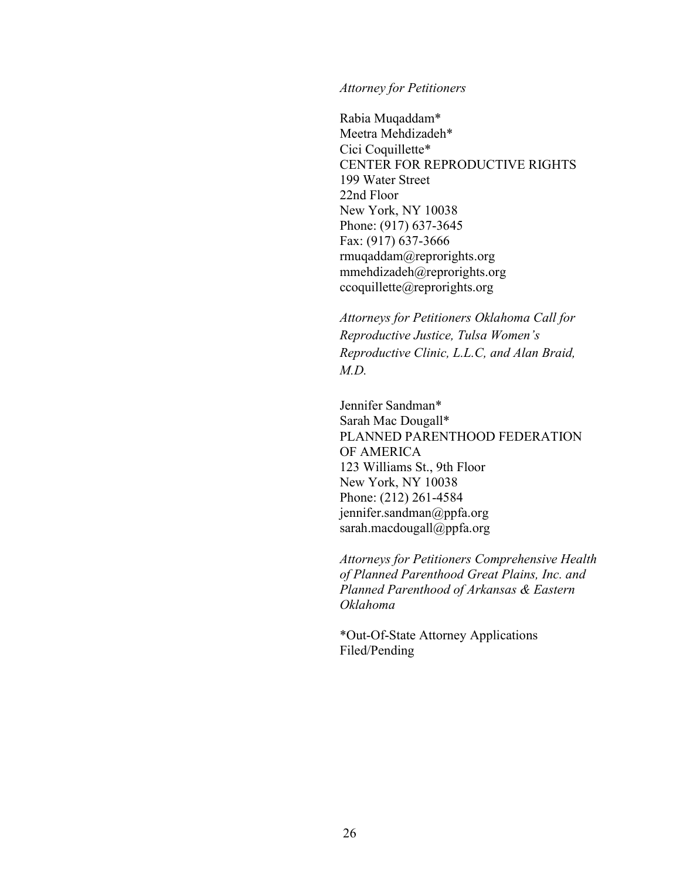#### Attorney for Petitioners

Rabia Muqaddam\* Meetra Mehdizadeh\* Cici Coquillette\* CENTER FOR REPRODUCTIVE RIGHTS 199 Water Street 22nd Floor New York, NY 10038 Phone: (917) 637-3645 Fax: (917) 637-3666 rmuqaddam@reprorights.org mmehdizadeh@reprorights.org ccoquillette@reprorights.org

Attorneys for Petitioners Oklahoma Call for Reproductive Justice, Tulsa Women's Reproductive Clinic, L.L.C, and Alan Braid,  $MD$ 

Jennifer Sandman\* Sarah Mac Dougall\* PLANNED PARENTHOOD FEDERATION OF AMERICA 123 Williams St., 9th Floor New York, NY 10038 Phone: (212) 261-4584 jennifer.sandman@ppfa.org sarah.macdougall@ppfa.org

Attorneys for Petitioners Comprehensive Health of Planned Parenthood Great Plains, Inc. and Planned Parenthood of Arkansas & Eastern Oklahoma

\*Out-Of-State Attorney Applications Filed/Pending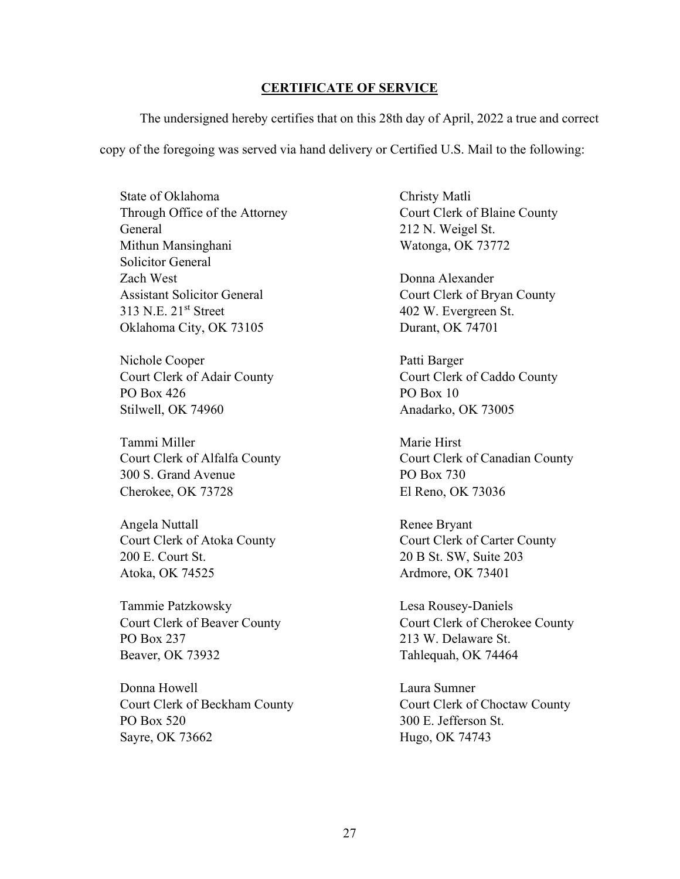#### CERTIFICATE OF SERVICE

 The undersigned hereby certifies that on this 28th day of April, 2022 a true and correct copy of the foregoing was served via hand delivery or Certified U.S. Mail to the following:

State of Oklahoma Through Office of the Attorney General Mithun Mansinghani Solicitor General Zach West Assistant Solicitor General 313 N.E. 21st Street Oklahoma City, OK 73105

Nichole Cooper Court Clerk of Adair County PO Box 426 Stilwell, OK 74960

Tammi Miller Court Clerk of Alfalfa County 300 S. Grand Avenue Cherokee, OK 73728

Angela Nuttall Court Clerk of Atoka County 200 E. Court St. Atoka, OK 74525

Tammie Patzkowsky Court Clerk of Beaver County PO Box 237 Beaver, OK 73932

Donna Howell Court Clerk of Beckham County PO Box 520 Sayre, OK 73662

Christy Matli Court Clerk of Blaine County 212 N. Weigel St. Watonga, OK 73772

Donna Alexander Court Clerk of Bryan County 402 W. Evergreen St. Durant, OK 74701

Patti Barger Court Clerk of Caddo County PO Box 10 Anadarko, OK 73005

Marie Hirst Court Clerk of Canadian County PO Box 730 El Reno, OK 73036

Renee Bryant Court Clerk of Carter County 20 B St. SW, Suite 203 Ardmore, OK 73401

Lesa Rousey-Daniels Court Clerk of Cherokee County 213 W. Delaware St. Tahlequah, OK 74464

Laura Sumner Court Clerk of Choctaw County 300 E. Jefferson St. Hugo, OK 74743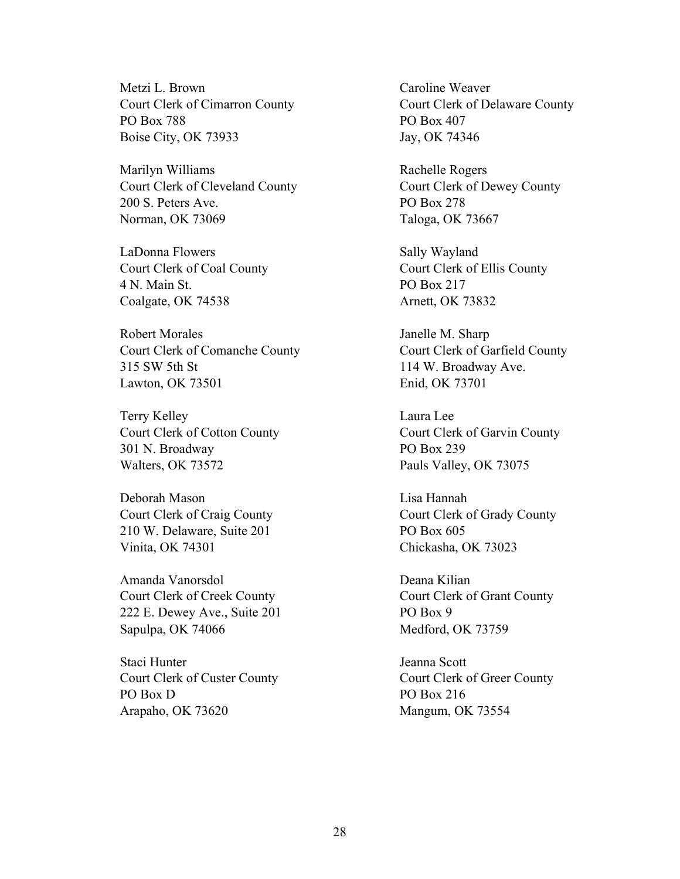Metzi L. Brown Court Clerk of Cimarron County PO Box 788 Boise City, OK 73933

Marilyn Williams Court Clerk of Cleveland County 200 S. Peters Ave. Norman, OK 73069

LaDonna Flowers Court Clerk of Coal County 4 N. Main St. Coalgate, OK 74538

Robert Morales Court Clerk of Comanche County 315 SW 5th St Lawton, OK 73501

Terry Kelley Court Clerk of Cotton County 301 N. Broadway Walters, OK 73572

Deborah Mason Court Clerk of Craig County 210 W. Delaware, Suite 201 Vinita, OK 74301

Amanda Vanorsdol Court Clerk of Creek County 222 E. Dewey Ave., Suite 201 Sapulpa, OK 74066

Staci Hunter Court Clerk of Custer County PO Box D Arapaho, OK 73620

Caroline Weaver Court Clerk of Delaware County PO Box 407 Jay, OK 74346

Rachelle Rogers Court Clerk of Dewey County PO Box 278 Taloga, OK 73667

Sally Wayland Court Clerk of Ellis County PO Box 217 Arnett, OK 73832

Janelle M. Sharp Court Clerk of Garfield County 114 W. Broadway Ave. Enid, OK 73701

Laura Lee Court Clerk of Garvin County PO Box 239 Pauls Valley, OK 73075

Lisa Hannah Court Clerk of Grady County PO Box 605 Chickasha, OK 73023

Deana Kilian Court Clerk of Grant County PO Box 9 Medford, OK 73759

Jeanna Scott Court Clerk of Greer County PO Box 216 Mangum, OK 73554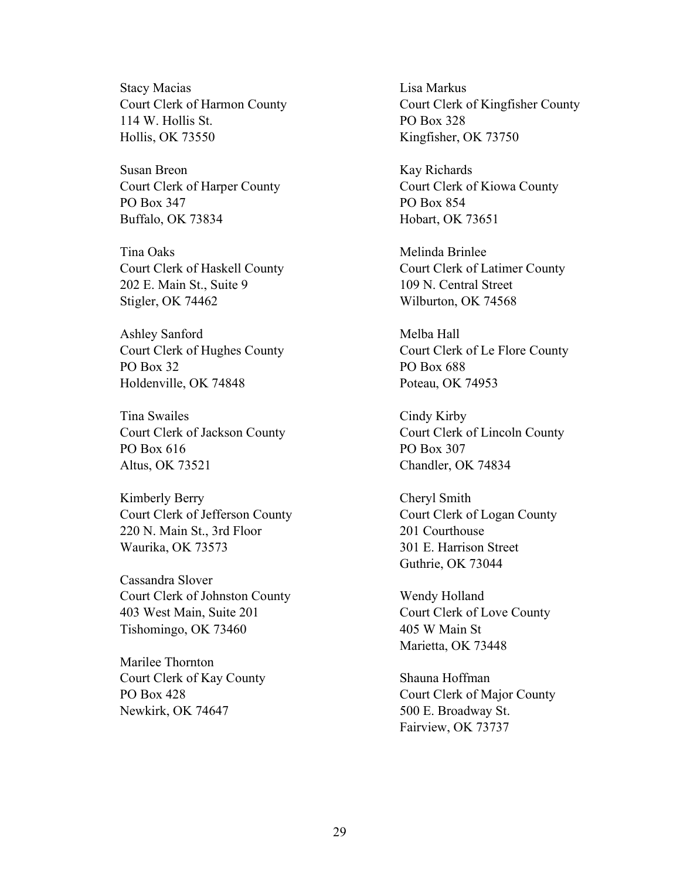Stacy Macias Court Clerk of Harmon County 114 W. Hollis St. Hollis, OK 73550

Susan Breon Court Clerk of Harper County PO Box 347 Buffalo, OK 73834

Tina Oaks Court Clerk of Haskell County 202 E. Main St., Suite 9 Stigler, OK 74462

Ashley Sanford Court Clerk of Hughes County PO Box 32 Holdenville, OK 74848

Tina Swailes Court Clerk of Jackson County PO Box 616 Altus, OK 73521

Kimberly Berry Court Clerk of Jefferson County 220 N. Main St., 3rd Floor Waurika, OK 73573

Cassandra Slover Court Clerk of Johnston County 403 West Main, Suite 201 Tishomingo, OK 73460

Marilee Thornton Court Clerk of Kay County PO Box 428 Newkirk, OK 74647

Lisa Markus Court Clerk of Kingfisher County PO Box 328 Kingfisher, OK 73750

Kay Richards Court Clerk of Kiowa County PO Box 854 Hobart, OK 73651

Melinda Brinlee Court Clerk of Latimer County 109 N. Central Street Wilburton, OK 74568

Melba Hall Court Clerk of Le Flore County PO Box 688 Poteau, OK 74953

Cindy Kirby Court Clerk of Lincoln County PO Box 307 Chandler, OK 74834

Cheryl Smith Court Clerk of Logan County 201 Courthouse 301 E. Harrison Street Guthrie, OK 73044

Wendy Holland Court Clerk of Love County 405 W Main St Marietta, OK 73448

Shauna Hoffman Court Clerk of Major County 500 E. Broadway St. Fairview, OK 73737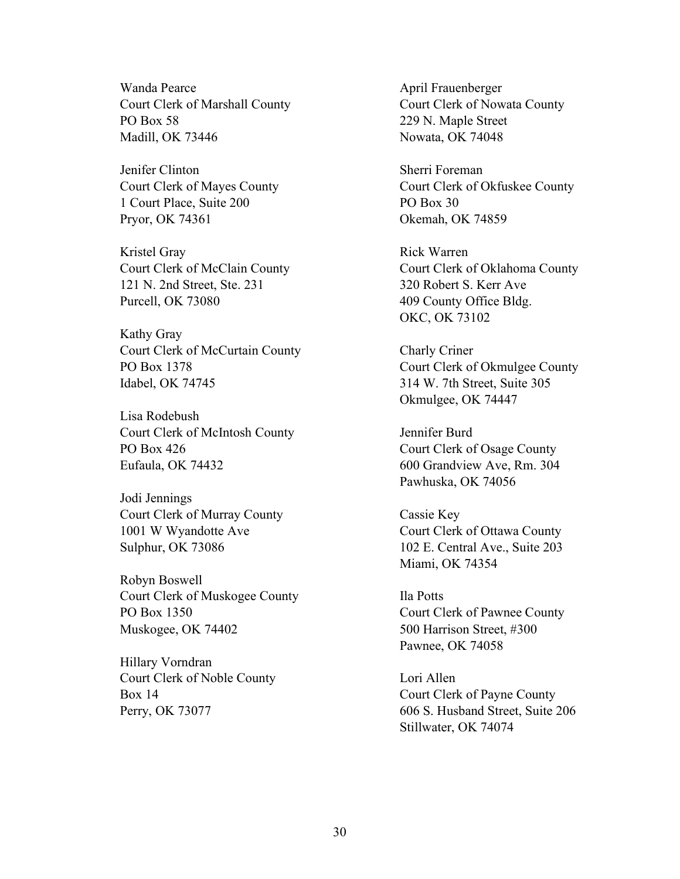Wanda Pearce Court Clerk of Marshall County PO Box 58 Madill, OK 73446

Jenifer Clinton Court Clerk of Mayes County 1 Court Place, Suite 200 Pryor, OK 74361

Kristel Gray Court Clerk of McClain County 121 N. 2nd Street, Ste. 231 Purcell, OK 73080

Kathy Gray Court Clerk of McCurtain County PO Box 1378 Idabel, OK 74745

Lisa Rodebush Court Clerk of McIntosh County PO Box 426 Eufaula, OK 74432

Jodi Jennings Court Clerk of Murray County 1001 W Wyandotte Ave Sulphur, OK 73086

Robyn Boswell Court Clerk of Muskogee County PO Box 1350 Muskogee, OK 74402

Hillary Vorndran Court Clerk of Noble County Box 14 Perry, OK 73077

April Frauenberger Court Clerk of Nowata County 229 N. Maple Street Nowata, OK 74048

Sherri Foreman Court Clerk of Okfuskee County PO Box 30 Okemah, OK 74859

Rick Warren Court Clerk of Oklahoma County 320 Robert S. Kerr Ave 409 County Office Bldg. OKC, OK 73102

Charly Criner Court Clerk of Okmulgee County 314 W. 7th Street, Suite 305 Okmulgee, OK 74447

Jennifer Burd Court Clerk of Osage County 600 Grandview Ave, Rm. 304 Pawhuska, OK 74056

Cassie Key Court Clerk of Ottawa County 102 E. Central Ave., Suite 203 Miami, OK 74354

Ila Potts Court Clerk of Pawnee County 500 Harrison Street, #300 Pawnee, OK 74058

Lori Allen Court Clerk of Payne County 606 S. Husband Street, Suite 206 Stillwater, OK 74074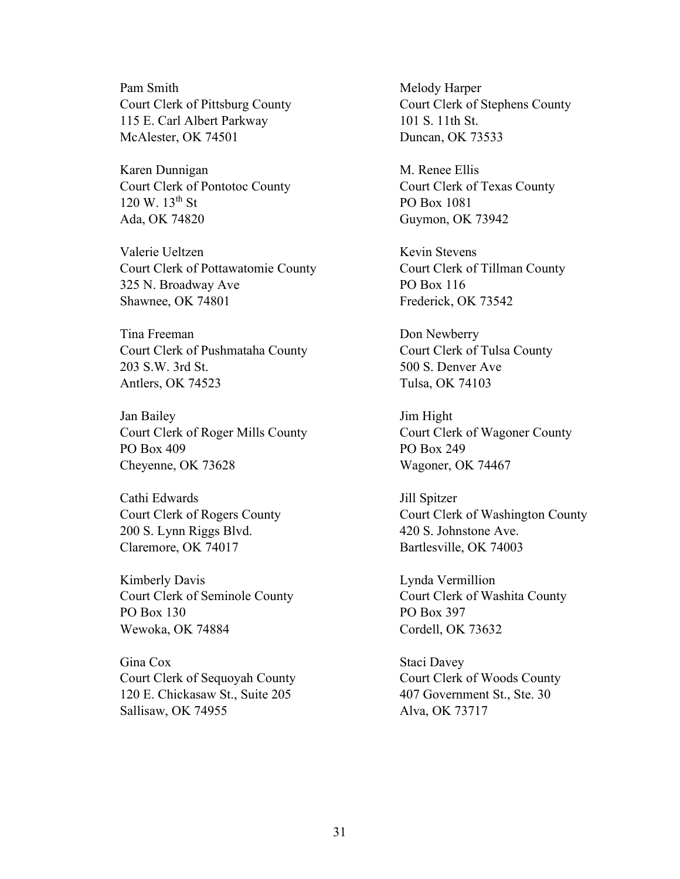Pam Smith Court Clerk of Pittsburg County 115 E. Carl Albert Parkway McAlester, OK 74501

Karen Dunnigan Court Clerk of Pontotoc County  $120 \text{ W}$ .  $13^{\text{th}}$  St Ada, OK 74820

Valerie Ueltzen Court Clerk of Pottawatomie County 325 N. Broadway Ave Shawnee, OK 74801

Tina Freeman Court Clerk of Pushmataha County 203 S.W. 3rd St. Antlers, OK 74523

Jan Bailey Court Clerk of Roger Mills County PO Box 409 Cheyenne, OK 73628

Cathi Edwards Court Clerk of Rogers County 200 S. Lynn Riggs Blvd. Claremore, OK 74017

Kimberly Davis Court Clerk of Seminole County PO Box 130 Wewoka, OK 74884

Gina Cox Court Clerk of Sequoyah County 120 E. Chickasaw St., Suite 205 Sallisaw, OK 74955

Melody Harper Court Clerk of Stephens County 101 S. 11th St. Duncan, OK 73533

M. Renee Ellis Court Clerk of Texas County PO Box 1081 Guymon, OK 73942

Kevin Stevens Court Clerk of Tillman County PO Box 116 Frederick, OK 73542

Don Newberry Court Clerk of Tulsa County 500 S. Denver Ave Tulsa, OK 74103

Jim Hight Court Clerk of Wagoner County PO Box 249 Wagoner, OK 74467

Jill Spitzer Court Clerk of Washington County 420 S. Johnstone Ave. Bartlesville, OK 74003

Lynda Vermillion Court Clerk of Washita County PO Box 397 Cordell, OK 73632

Staci Davey Court Clerk of Woods County 407 Government St., Ste. 30 Alva, OK 73717